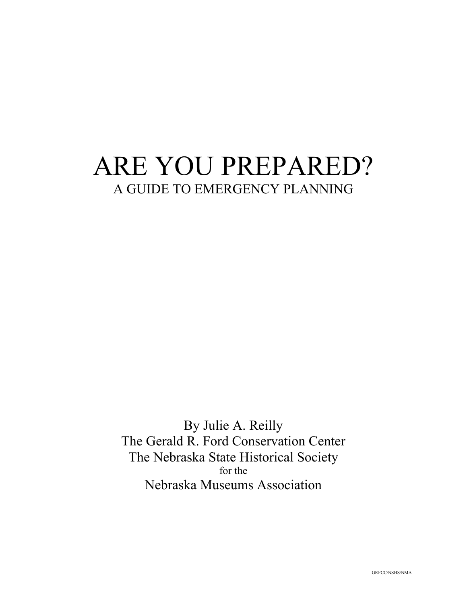# ARE YOU PREPARED? A GUIDE TO EMERGENCY PLANNING

By Julie A. Reilly The Gerald R. Ford Conservation Center The Nebraska State Historical Society for the Nebraska Museums Association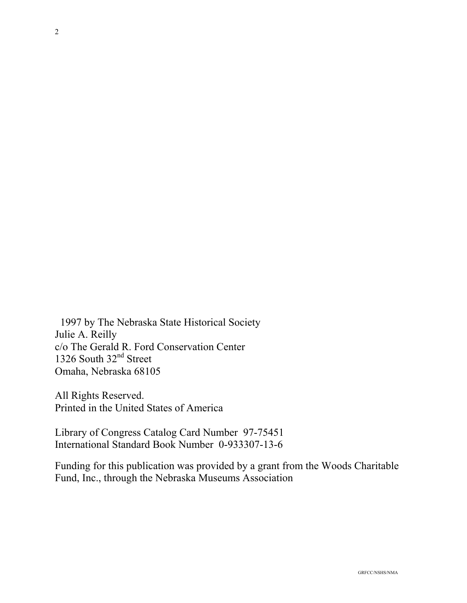1997 by The Nebraska State Historical Society Julie A. Reilly c/o The Gerald R. Ford Conservation Center 1326 South 32<sup>nd</sup> Street Omaha, Nebraska 68105

All Rights Reserved. Printed in the United States of America

Library of Congress Catalog Card Number 97-75451 International Standard Book Number 0-933307-13-6

Funding for this publication was provided by a grant from the Woods Charitable Fund, Inc., through the Nebraska Museums Association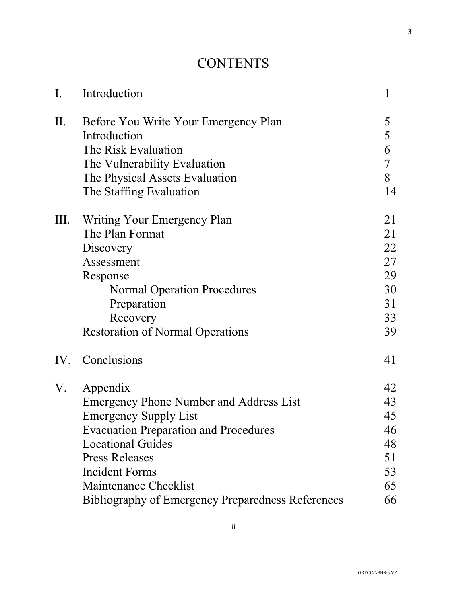### **CONTENTS**

| I.        | Introduction                                             | 1              |
|-----------|----------------------------------------------------------|----------------|
| $\prod$ . | Before You Write Your Emergency Plan                     | 5              |
|           | Introduction                                             | 5              |
|           | The Risk Evaluation                                      | 6              |
|           | The Vulnerability Evaluation                             | $\overline{7}$ |
|           | The Physical Assets Evaluation                           | 8              |
|           | The Staffing Evaluation                                  | 14             |
| Ш.        | Writing Your Emergency Plan                              | 21             |
|           | The Plan Format                                          | 21             |
|           | Discovery                                                | 22             |
|           | Assessment                                               | 27             |
|           | Response                                                 | 29             |
|           | <b>Normal Operation Procedures</b>                       | 30             |
|           | Preparation                                              | 31             |
|           | Recovery                                                 | 33             |
|           | <b>Restoration of Normal Operations</b>                  | 39             |
|           | IV. Conclusions                                          | 41             |
| V.        | Appendix                                                 | 42             |
|           | <b>Emergency Phone Number and Address List</b>           | 43             |
|           | <b>Emergency Supply List</b>                             | 45             |
|           | <b>Evacuation Preparation and Procedures</b>             | 46             |
|           | <b>Locational Guides</b>                                 | 48             |
|           | <b>Press Releases</b>                                    | 51             |
|           | <b>Incident Forms</b>                                    | 53             |
|           | Maintenance Checklist                                    | 65             |
|           | <b>Bibliography of Emergency Preparedness References</b> | 66             |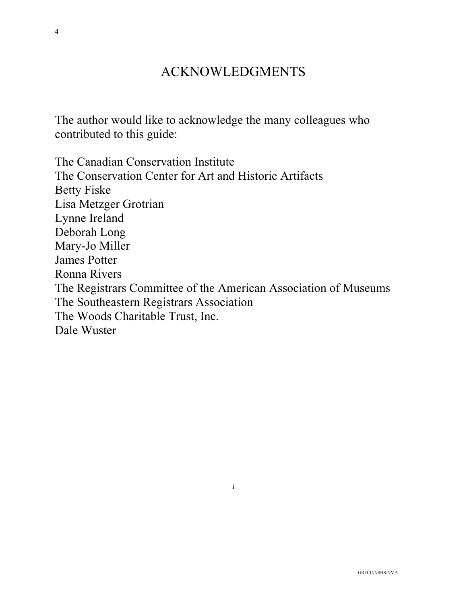### ACKNOWLEDGMENTS

The author would like to acknowledge the many colleagues who contributed to this guide:

The Canadian Conservation Institute The Conservation Center for Art and Historic Artifacts Betty Fiske Lisa Metzger Grotrian Lynne Ireland Deborah Long Mary-Jo Miller James Potter Ronna Rivers The Registrars Committee of the American Association of Museums The Southeastern Registrars Association The Woods Charitable Trust, Inc. Dale Wuster

i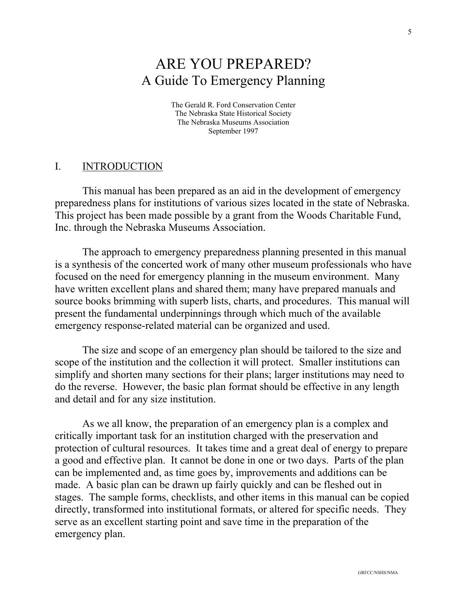### ARE YOU PREPARED? A Guide To Emergency Planning

The Gerald R. Ford Conservation Center The Nebraska State Historical Society The Nebraska Museums Association September 1997

### I. INTRODUCTION

This manual has been prepared as an aid in the development of emergency preparedness plans for institutions of various sizes located in the state of Nebraska. This project has been made possible by a grant from the Woods Charitable Fund, Inc. through the Nebraska Museums Association.

The approach to emergency preparedness planning presented in this manual is a synthesis of the concerted work of many other museum professionals who have focused on the need for emergency planning in the museum environment. Many have written excellent plans and shared them; many have prepared manuals and source books brimming with superb lists, charts, and procedures. This manual will present the fundamental underpinnings through which much of the available emergency response-related material can be organized and used.

The size and scope of an emergency plan should be tailored to the size and scope of the institution and the collection it will protect. Smaller institutions can simplify and shorten many sections for their plans; larger institutions may need to do the reverse. However, the basic plan format should be effective in any length and detail and for any size institution.

As we all know, the preparation of an emergency plan is a complex and critically important task for an institution charged with the preservation and protection of cultural resources. It takes time and a great deal of energy to prepare a good and effective plan. It cannot be done in one or two days. Parts of the plan can be implemented and, as time goes by, improvements and additions can be made. A basic plan can be drawn up fairly quickly and can be fleshed out in stages. The sample forms, checklists, and other items in this manual can be copied directly, transformed into institutional formats, or altered for specific needs. They serve as an excellent starting point and save time in the preparation of the emergency plan.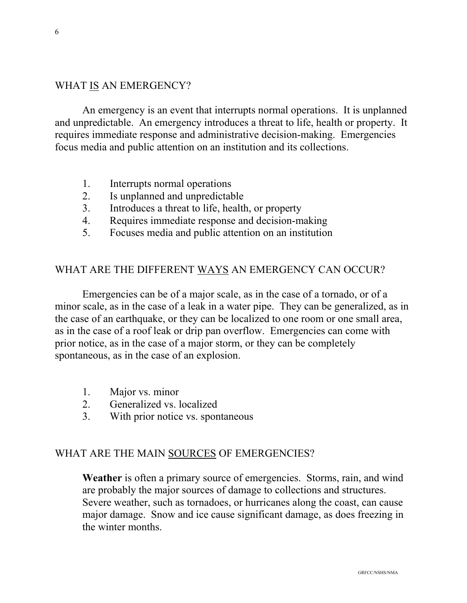### WHAT IS AN EMERGENCY?

An emergency is an event that interrupts normal operations. It is unplanned and unpredictable. An emergency introduces a threat to life, health or property. It requires immediate response and administrative decision-making. Emergencies focus media and public attention on an institution and its collections.

- 1. Interrupts normal operations
- 2. Is unplanned and unpredictable
- 3. Introduces a threat to life, health, or property
- 4. Requires immediate response and decision-making
- 5. Focuses media and public attention on an institution

### WHAT ARE THE DIFFERENT WAYS AN EMERGENCY CAN OCCUR?

Emergencies can be of a major scale, as in the case of a tornado, or of a minor scale, as in the case of a leak in a water pipe. They can be generalized, as in the case of an earthquake, or they can be localized to one room or one small area, as in the case of a roof leak or drip pan overflow. Emergencies can come with prior notice, as in the case of a major storm, or they can be completely spontaneous, as in the case of an explosion.

- 1. Major vs. minor
- 2. Generalized vs. localized
- 3. With prior notice vs. spontaneous

### WHAT ARE THE MAIN SOURCES OF EMERGENCIES?

**Weather** is often a primary source of emergencies. Storms, rain, and wind are probably the major sources of damage to collections and structures. Severe weather, such as tornadoes, or hurricanes along the coast, can cause major damage. Snow and ice cause significant damage, as does freezing in the winter months.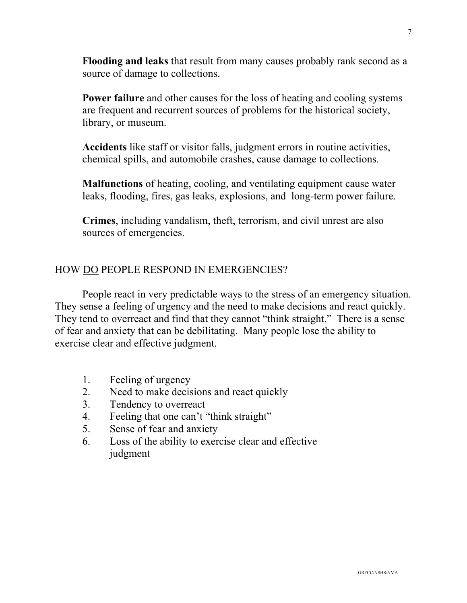**Flooding and leaks** that result from many causes probably rank second as a source of damage to collections.

**Power failure** and other causes for the loss of heating and cooling systems are frequent and recurrent sources of problems for the historical society, library, or museum.

**Accidents** like staff or visitor falls, judgment errors in routine activities, chemical spills, and automobile crashes, cause damage to collections.

**Malfunctions** of heating, cooling, and ventilating equipment cause water leaks, flooding, fires, gas leaks, explosions, and long-term power failure.

**Crimes**, including vandalism, theft, terrorism, and civil unrest are also sources of emergencies.

### HOW DO PEOPLE RESPOND IN EMERGENCIES?

People react in very predictable ways to the stress of an emergency situation. They sense a feeling of urgency and the need to make decisions and react quickly. They tend to overreact and find that they cannot "think straight." There is a sense of fear and anxiety that can be debilitating. Many people lose the ability to exercise clear and effective judgment.

- 1. Feeling of urgency
- 2. Need to make decisions and react quickly
- 3. Tendency to overreact
- 4. Feeling that one can't "think straight"
- 5. Sense of fear and anxiety
- 6. Loss of the ability to exercise clear and effective judgment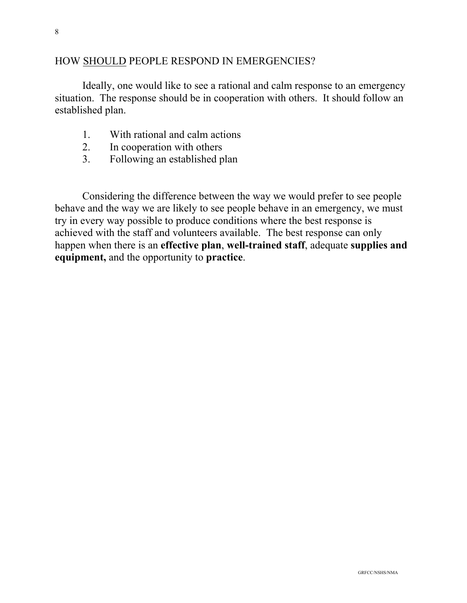### HOW SHOULD PEOPLE RESPOND IN EMERGENCIES?

Ideally, one would like to see a rational and calm response to an emergency situation. The response should be in cooperation with others. It should follow an established plan.

- 1. With rational and calm actions
- 2. In cooperation with others
- 3. Following an established plan

Considering the difference between the way we would prefer to see people behave and the way we are likely to see people behave in an emergency, we must try in every way possible to produce conditions where the best response is achieved with the staff and volunteers available. The best response can only happen when there is an **effective plan**, **well-trained staff**, adequate **supplies and equipment,** and the opportunity to **practice**.

8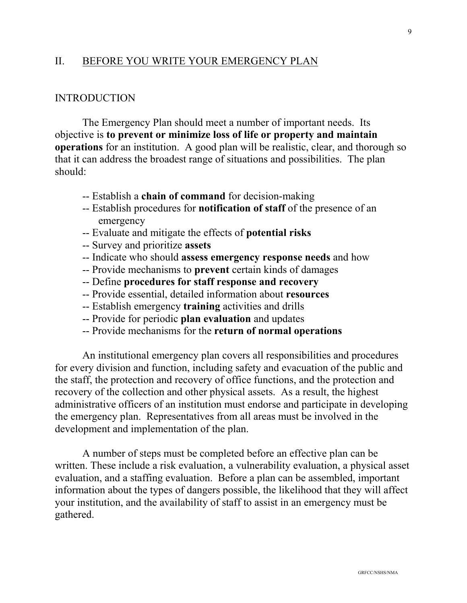### II. BEFORE YOU WRITE YOUR EMERGENCY PLAN

#### INTRODUCTION

The Emergency Plan should meet a number of important needs. Its objective is **to prevent or minimize loss of life or property and maintain operations** for an institution. A good plan will be realistic, clear, and thorough so that it can address the broadest range of situations and possibilities. The plan should:

- -- Establish a **chain of command** for decision-making
- -- Establish procedures for **notification of staff** of the presence of an emergency
- -- Evaluate and mitigate the effects of **potential risks**
- -- Survey and prioritize **assets**
- -- Indicate who should **assess emergency response needs** and how
- -- Provide mechanisms to **prevent** certain kinds of damages
- -- Define **procedures for staff response and recovery**
- -- Provide essential, detailed information about **resources**
- -- Establish emergency **training** activities and drills
- -- Provide for periodic **plan evaluation** and updates
- -- Provide mechanisms for the **return of normal operations**

An institutional emergency plan covers all responsibilities and procedures for every division and function, including safety and evacuation of the public and the staff, the protection and recovery of office functions, and the protection and recovery of the collection and other physical assets. As a result, the highest administrative officers of an institution must endorse and participate in developing the emergency plan. Representatives from all areas must be involved in the development and implementation of the plan.

A number of steps must be completed before an effective plan can be written. These include a risk evaluation, a vulnerability evaluation, a physical asset evaluation, and a staffing evaluation. Before a plan can be assembled, important information about the types of dangers possible, the likelihood that they will affect your institution, and the availability of staff to assist in an emergency must be gathered.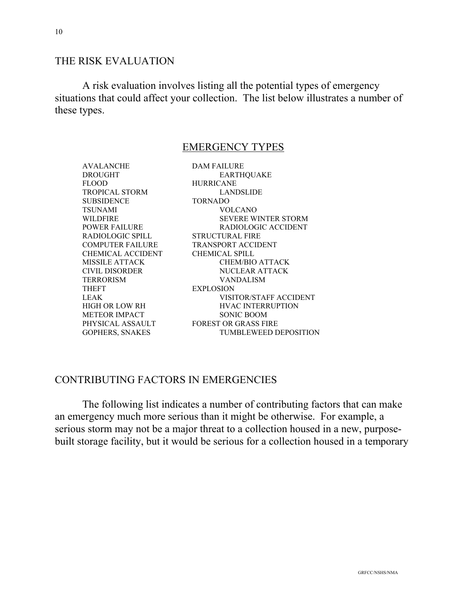### THE RISK EVALUATION

A risk evaluation involves listing all the potential types of emergency situations that could affect your collection. The list below illustrates a number of these types.

### EMERGENCY TYPES

AVALANCHE DAM FAILURE FLOOD HURRICANE TROPICAL STORM LANDSLIDE SUBSIDENCE TORNADO TSUNAMI VOLCANO RADIOLOGIC SPILL STRUCTURAL FIRE CHEMICAL ACCIDENT CHEMICAL SPILL TERRORISM VANDALISM THEFT EXPLOSION

DROUGHT EARTHQUAKE WILDFIRE SEVERE WINTER STORM POWER FAILURE RADIOLOGIC ACCIDENT COMPUTER FAILURE TRANSPORT ACCIDENT MISSILE ATTACK CHEM/BIO ATTACK CIVIL DISORDER NUCLEAR ATTACK LEAK VISITOR/STAFF ACCIDENT HIGH OR LOW RH HVAC INTERRUPTION METEOR IMPACT SONIC BOOM PHYSICAL ASSAULT FOREST OR GRASS FIRE GOPHERS, SNAKES TUMBLEWEED DEPOSITION

### CONTRIBUTING FACTORS IN EMERGENCIES

The following list indicates a number of contributing factors that can make an emergency much more serious than it might be otherwise. For example, a serious storm may not be a major threat to a collection housed in a new, purposebuilt storage facility, but it would be serious for a collection housed in a temporary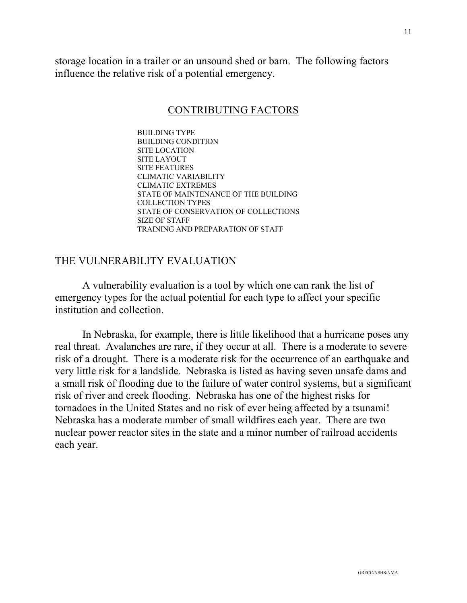storage location in a trailer or an unsound shed or barn. The following factors influence the relative risk of a potential emergency.

### CONTRIBUTING FACTORS

BUILDING TYPE BUILDING CONDITION SITE LOCATION SITE LAYOUT SITE FEATURES CLIMATIC VARIABILITY CLIMATIC EXTREMES STATE OF MAINTENANCE OF THE BUILDING COLLECTION TYPES STATE OF CONSERVATION OF COLLECTIONS SIZE OF STAFF TRAINING AND PREPARATION OF STAFF

### THE VULNERABILITY EVALUATION

A vulnerability evaluation is a tool by which one can rank the list of emergency types for the actual potential for each type to affect your specific institution and collection.

In Nebraska, for example, there is little likelihood that a hurricane poses any real threat. Avalanches are rare, if they occur at all. There is a moderate to severe risk of a drought. There is a moderate risk for the occurrence of an earthquake and very little risk for a landslide. Nebraska is listed as having seven unsafe dams and a small risk of flooding due to the failure of water control systems, but a significant risk of river and creek flooding. Nebraska has one of the highest risks for tornadoes in the United States and no risk of ever being affected by a tsunami! Nebraska has a moderate number of small wildfires each year. There are two nuclear power reactor sites in the state and a minor number of railroad accidents each year.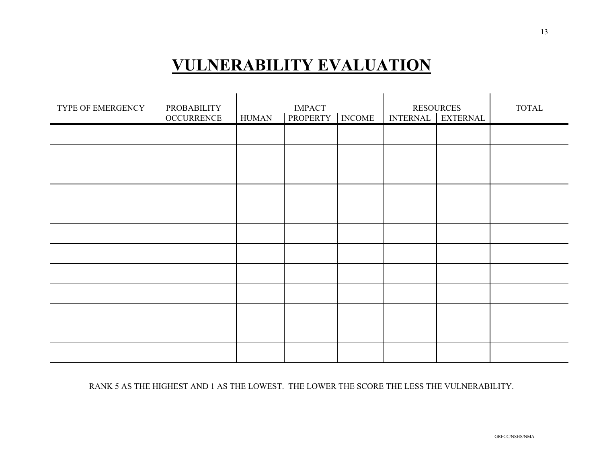# **VULNERABILITY EVALUATION**

| TYPE OF EMERGENCY | <b>PROBABILITY</b> | <b>IMPACT</b> |                 |               | <b>RESOURCES</b> | <b>TOTAL</b>    |  |
|-------------------|--------------------|---------------|-----------------|---------------|------------------|-----------------|--|
|                   | <b>OCCURRENCE</b>  | <b>HUMAN</b>  | <b>PROPERTY</b> | <b>INCOME</b> | INTERNAL         | <b>EXTERNAL</b> |  |
|                   |                    |               |                 |               |                  |                 |  |
|                   |                    |               |                 |               |                  |                 |  |
|                   |                    |               |                 |               |                  |                 |  |
|                   |                    |               |                 |               |                  |                 |  |
|                   |                    |               |                 |               |                  |                 |  |
|                   |                    |               |                 |               |                  |                 |  |
|                   |                    |               |                 |               |                  |                 |  |
|                   |                    |               |                 |               |                  |                 |  |
|                   |                    |               |                 |               |                  |                 |  |
|                   |                    |               |                 |               |                  |                 |  |
|                   |                    |               |                 |               |                  |                 |  |
|                   |                    |               |                 |               |                  |                 |  |

#### RANK 5 AS THE HIGHEST AND 1 AS THE LOWEST. THE LOWER THE SCORE THE LESS THE VULNERABILITY.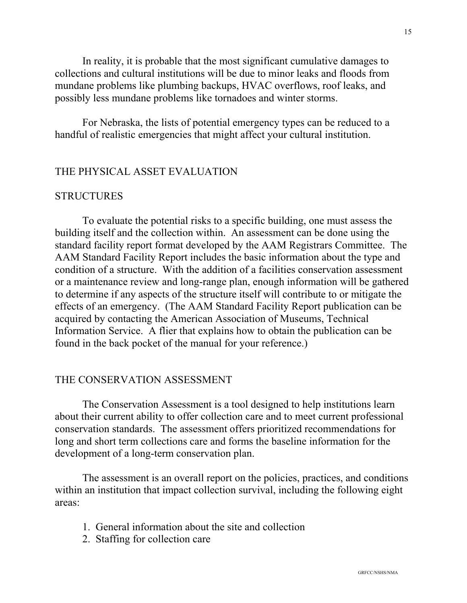In reality, it is probable that the most significant cumulative damages to collections and cultural institutions will be due to minor leaks and floods from mundane problems like plumbing backups, HVAC overflows, roof leaks, and possibly less mundane problems like tornadoes and winter storms.

For Nebraska, the lists of potential emergency types can be reduced to a handful of realistic emergencies that might affect your cultural institution.

### THE PHYSICAL ASSET EVALUATION

#### **STRUCTURES**

To evaluate the potential risks to a specific building, one must assess the building itself and the collection within. An assessment can be done using the standard facility report format developed by the AAM Registrars Committee. The AAM Standard Facility Report includes the basic information about the type and condition of a structure. With the addition of a facilities conservation assessment or a maintenance review and long-range plan, enough information will be gathered to determine if any aspects of the structure itself will contribute to or mitigate the effects of an emergency. (The AAM Standard Facility Report publication can be acquired by contacting the American Association of Museums, Technical Information Service. A flier that explains how to obtain the publication can be found in the back pocket of the manual for your reference.)

#### THE CONSERVATION ASSESSMENT

The Conservation Assessment is a tool designed to help institutions learn about their current ability to offer collection care and to meet current professional conservation standards. The assessment offers prioritized recommendations for long and short term collections care and forms the baseline information for the development of a long-term conservation plan.

The assessment is an overall report on the policies, practices, and conditions within an institution that impact collection survival, including the following eight areas:

- 1. General information about the site and collection
- 2. Staffing for collection care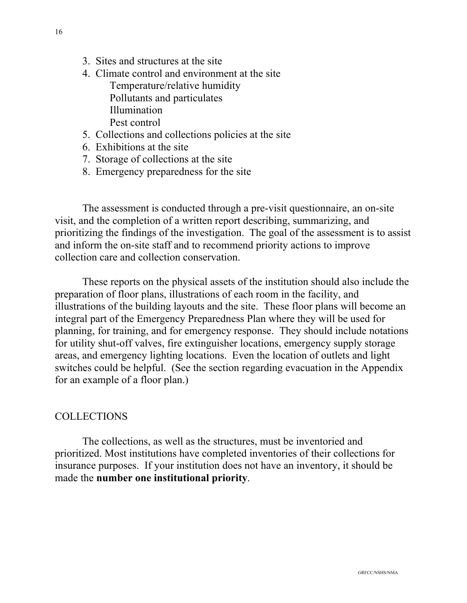- 3. Sites and structures at the site
- 4. Climate control and environment at the site Temperature/relative humidity Pollutants and particulates Illumination Pest control
- 5. Collections and collections policies at the site
- 6. Exhibitions at the site
- 7. Storage of collections at the site
- 8. Emergency preparedness for the site

The assessment is conducted through a pre-visit questionnaire, an on-site visit, and the completion of a written report describing, summarizing, and prioritizing the findings of the investigation. The goal of the assessment is to assist and inform the on-site staff and to recommend priority actions to improve collection care and collection conservation.

These reports on the physical assets of the institution should also include the preparation of floor plans, illustrations of each room in the facility, and illustrations of the building layouts and the site. These floor plans will become an integral part of the Emergency Preparedness Plan where they will be used for planning, for training, and for emergency response. They should include notations for utility shut-off valves, fire extinguisher locations, emergency supply storage areas, and emergency lighting locations. Even the location of outlets and light switches could be helpful. (See the section regarding evacuation in the Appendix for an example of a floor plan.)

### COLLECTIONS

The collections, as well as the structures, must be inventoried and prioritized. Most institutions have completed inventories of their collections for insurance purposes. If your institution does not have an inventory, it should be made the **number one institutional priority**.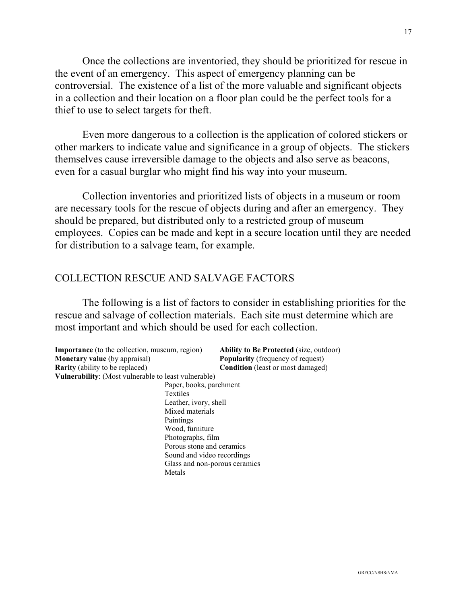Once the collections are inventoried, they should be prioritized for rescue in the event of an emergency. This aspect of emergency planning can be controversial. The existence of a list of the more valuable and significant objects in a collection and their location on a floor plan could be the perfect tools for a thief to use to select targets for theft.

Even more dangerous to a collection is the application of colored stickers or other markers to indicate value and significance in a group of objects. The stickers themselves cause irreversible damage to the objects and also serve as beacons, even for a casual burglar who might find his way into your museum.

Collection inventories and prioritized lists of objects in a museum or room are necessary tools for the rescue of objects during and after an emergency. They should be prepared, but distributed only to a restricted group of museum employees. Copies can be made and kept in a secure location until they are needed for distribution to a salvage team, for example.

### COLLECTION RESCUE AND SALVAGE FACTORS

The following is a list of factors to consider in establishing priorities for the rescue and salvage of collection materials. Each site must determine which are most important and which should be used for each collection.

| <b>Importance</b> (to the collection, museum, region)       | <b>Ability to Be Protected (size, outdoor)</b> |
|-------------------------------------------------------------|------------------------------------------------|
| <b>Monetary value</b> (by appraisal)                        | <b>Popularity</b> (frequency of request)       |
| <b>Rarity</b> (ability to be replaced)                      | <b>Condition</b> (least or most damaged)       |
| <b>Vulnerability:</b> (Most vulnerable to least vulnerable) |                                                |
|                                                             | Paper, books, parchment                        |
|                                                             | <b>Textiles</b>                                |
|                                                             | Leather, ivory, shell                          |
|                                                             | Mixed materials                                |
|                                                             | Paintings                                      |
|                                                             | Wood, furniture                                |
|                                                             | Photographs, film                              |
|                                                             | Porous stone and ceramics                      |
|                                                             | Sound and video recordings                     |
|                                                             | Glass and non-porous ceramics                  |
|                                                             | Metals                                         |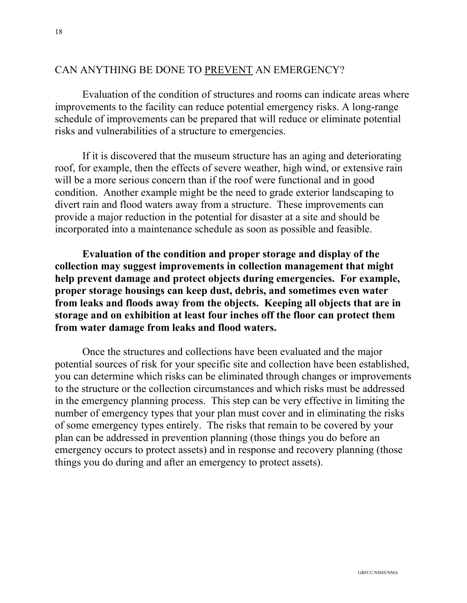### CAN ANYTHING BE DONE TO PREVENT AN EMERGENCY?

Evaluation of the condition of structures and rooms can indicate areas where improvements to the facility can reduce potential emergency risks. A long-range schedule of improvements can be prepared that will reduce or eliminate potential risks and vulnerabilities of a structure to emergencies.

If it is discovered that the museum structure has an aging and deteriorating roof, for example, then the effects of severe weather, high wind, or extensive rain will be a more serious concern than if the roof were functional and in good condition. Another example might be the need to grade exterior landscaping to divert rain and flood waters away from a structure. These improvements can provide a major reduction in the potential for disaster at a site and should be incorporated into a maintenance schedule as soon as possible and feasible.

**Evaluation of the condition and proper storage and display of the collection may suggest improvements in collection management that might help prevent damage and protect objects during emergencies. For example, proper storage housings can keep dust, debris, and sometimes even water from leaks and floods away from the objects. Keeping all objects that are in storage and on exhibition at least four inches off the floor can protect them from water damage from leaks and flood waters.** 

Once the structures and collections have been evaluated and the major potential sources of risk for your specific site and collection have been established, you can determine which risks can be eliminated through changes or improvements to the structure or the collection circumstances and which risks must be addressed in the emergency planning process. This step can be very effective in limiting the number of emergency types that your plan must cover and in eliminating the risks of some emergency types entirely. The risks that remain to be covered by your plan can be addressed in prevention planning (those things you do before an emergency occurs to protect assets) and in response and recovery planning (those things you do during and after an emergency to protect assets).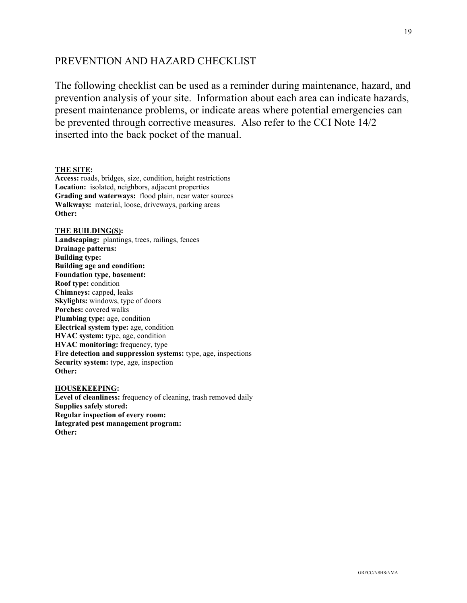### PREVENTION AND HAZARD CHECKLIST

The following checklist can be used as a reminder during maintenance, hazard, and prevention analysis of your site. Information about each area can indicate hazards, present maintenance problems, or indicate areas where potential emergencies can be prevented through corrective measures. Also refer to the CCI Note 14/2 inserted into the back pocket of the manual.

#### **THE SITE:**

**Access:** roads, bridges, size, condition, height restrictions **Location:** isolated, neighbors, adjacent properties **Grading and waterways:** flood plain, near water sources **Walkways:** material, loose, driveways, parking areas **Other:**

**THE BUILDING(S): Landscaping:** plantings, trees, railings, fences **Drainage patterns: Building type: Building age and condition: Foundation type, basement: Roof type:** condition **Chimneys:** capped, leaks **Skylights:** windows, type of doors **Porches:** covered walks **Plumbing type:** age, condition **Electrical system type:** age, condition **HVAC system:** type, age, condition **HVAC monitoring:** frequency, type **Fire detection and suppression systems:** type, age, inspections **Security system:** type, age, inspection **Other:**

#### **HOUSEKEEPING:**

**Level of cleanliness:** frequency of cleaning, trash removed daily **Supplies safely stored: Regular inspection of every room: Integrated pest management program: Other:**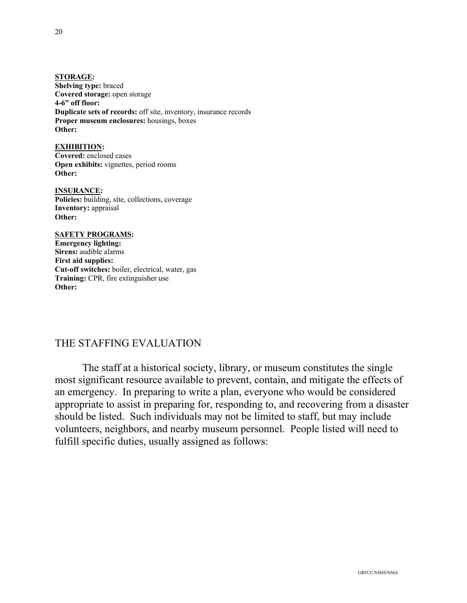**STORAGE: Shelving type:** braced **Covered storage:** open storage **4-6" off floor: Duplicate sets of records:** off site, inventory, insurance records **Proper museum enclosures:** housings, boxes **Other:**

**EXHIBITION: Covered:** enclosed cases **Open exhibits:** vignettes, period rooms **Other:**

**INSURANCE: Policies:** building, site, collections, coverage **Inventory:** appraisal **Other:**

**SAFETY PROGRAMS: Emergency lighting: Sirens:** audible alarms **First aid supplies: Cut-off switches:** boiler, electrical, water, gas **Training:** CPR, fire extinguisher use **Other:**

### THE STAFFING EVALUATION

The staff at a historical society, library, or museum constitutes the single most significant resource available to prevent, contain, and mitigate the effects of an emergency. In preparing to write a plan, everyone who would be considered appropriate to assist in preparing for, responding to, and recovering from a disaster should be listed. Such individuals may not be limited to staff, but may include volunteers, neighbors, and nearby museum personnel. People listed will need to fulfill specific duties, usually assigned as follows: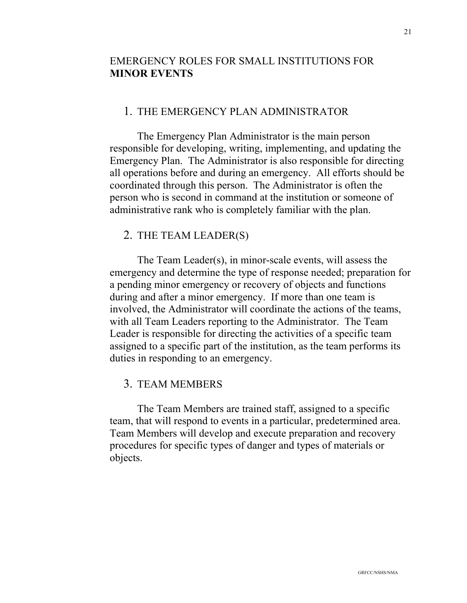### EMERGENCY ROLES FOR SMALL INSTITUTIONS FOR **MINOR EVENTS**

### 1. THE EMERGENCY PLAN ADMINISTRATOR

The Emergency Plan Administrator is the main person responsible for developing, writing, implementing, and updating the Emergency Plan. The Administrator is also responsible for directing all operations before and during an emergency. All efforts should be coordinated through this person. The Administrator is often the person who is second in command at the institution or someone of administrative rank who is completely familiar with the plan.

#### 2. THE TEAM LEADER(S)

The Team Leader(s), in minor-scale events, will assess the emergency and determine the type of response needed; preparation for a pending minor emergency or recovery of objects and functions during and after a minor emergency. If more than one team is involved, the Administrator will coordinate the actions of the teams, with all Team Leaders reporting to the Administrator. The Team Leader is responsible for directing the activities of a specific team assigned to a specific part of the institution, as the team performs its duties in responding to an emergency.

### 3. TEAM MEMBERS

The Team Members are trained staff, assigned to a specific team, that will respond to events in a particular, predetermined area. Team Members will develop and execute preparation and recovery procedures for specific types of danger and types of materials or objects.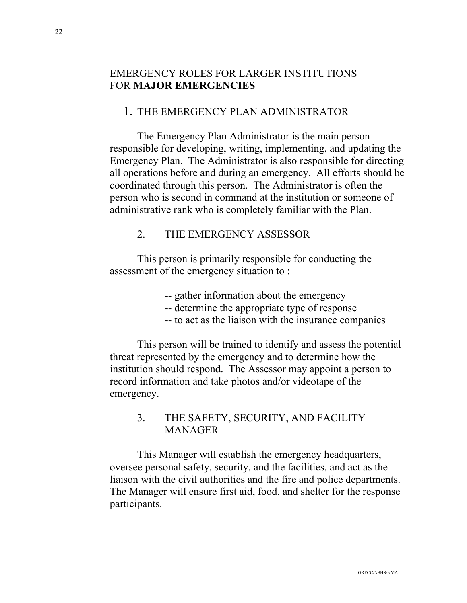### EMERGENCY ROLES FOR LARGER INSTITUTIONS FOR **MAJOR EMERGENCIES**

### 1. THE EMERGENCY PLAN ADMINISTRATOR

The Emergency Plan Administrator is the main person responsible for developing, writing, implementing, and updating the Emergency Plan. The Administrator is also responsible for directing all operations before and during an emergency. All efforts should be coordinated through this person. The Administrator is often the person who is second in command at the institution or someone of administrative rank who is completely familiar with the Plan.

### 2. THE EMERGENCY ASSESSOR

This person is primarily responsible for conducting the assessment of the emergency situation to :

- -- gather information about the emergency
- -- determine the appropriate type of response
- -- to act as the liaison with the insurance companies

This person will be trained to identify and assess the potential threat represented by the emergency and to determine how the institution should respond. The Assessor may appoint a person to record information and take photos and/or videotape of the emergency.

### 3. THE SAFETY, SECURITY, AND FACILITY MANAGER

This Manager will establish the emergency headquarters, oversee personal safety, security, and the facilities, and act as the liaison with the civil authorities and the fire and police departments. The Manager will ensure first aid, food, and shelter for the response participants.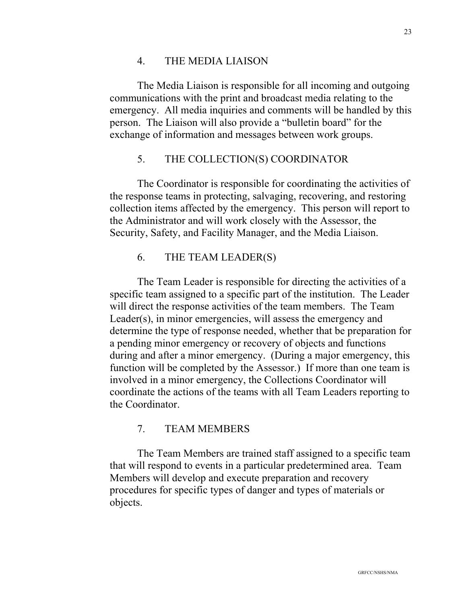#### 4. THE MEDIA LIAISON

The Media Liaison is responsible for all incoming and outgoing communications with the print and broadcast media relating to the emergency. All media inquiries and comments will be handled by this person. The Liaison will also provide a "bulletin board" for the exchange of information and messages between work groups.

### 5. THE COLLECTION(S) COORDINATOR

The Coordinator is responsible for coordinating the activities of the response teams in protecting, salvaging, recovering, and restoring collection items affected by the emergency. This person will report to the Administrator and will work closely with the Assessor, the Security, Safety, and Facility Manager, and the Media Liaison.

### 6. THE TEAM LEADER(S)

The Team Leader is responsible for directing the activities of a specific team assigned to a specific part of the institution. The Leader will direct the response activities of the team members. The Team Leader(s), in minor emergencies, will assess the emergency and determine the type of response needed, whether that be preparation for a pending minor emergency or recovery of objects and functions during and after a minor emergency. (During a major emergency, this function will be completed by the Assessor.) If more than one team is involved in a minor emergency, the Collections Coordinator will coordinate the actions of the teams with all Team Leaders reporting to the Coordinator.

### 7. TEAM MEMBERS

The Team Members are trained staff assigned to a specific team that will respond to events in a particular predetermined area. Team Members will develop and execute preparation and recovery procedures for specific types of danger and types of materials or objects.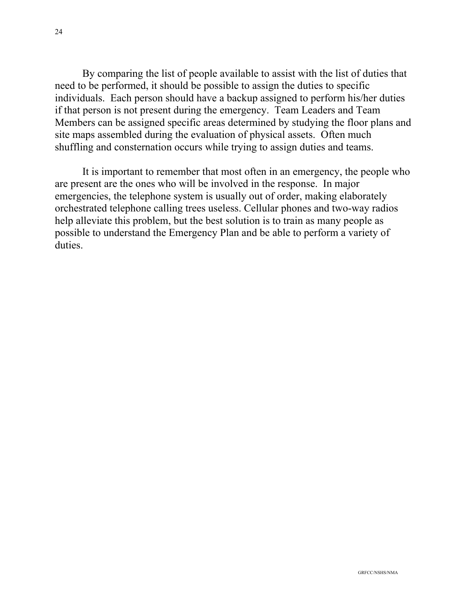By comparing the list of people available to assist with the list of duties that need to be performed, it should be possible to assign the duties to specific individuals. Each person should have a backup assigned to perform his/her duties if that person is not present during the emergency. Team Leaders and Team Members can be assigned specific areas determined by studying the floor plans and site maps assembled during the evaluation of physical assets. Often much shuffling and consternation occurs while trying to assign duties and teams.

It is important to remember that most often in an emergency, the people who are present are the ones who will be involved in the response. In major emergencies, the telephone system is usually out of order, making elaborately orchestrated telephone calling trees useless. Cellular phones and two-way radios help alleviate this problem, but the best solution is to train as many people as possible to understand the Emergency Plan and be able to perform a variety of duties.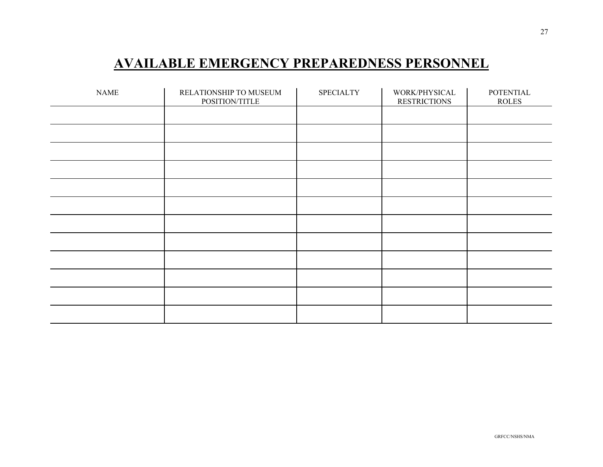### **AVAILABLE EMERGENCY PREPAREDNESS PERSONNEL**

| <b>NAME</b> | RELATIONSHIP TO MUSEUM<br>POSITION/TITLE | <b>SPECIALTY</b> | WORK/PHYSICAL<br><b>RESTRICTIONS</b> | <b>POTENTIAL</b><br><b>ROLES</b> |
|-------------|------------------------------------------|------------------|--------------------------------------|----------------------------------|
|             |                                          |                  |                                      |                                  |
|             |                                          |                  |                                      |                                  |
|             |                                          |                  |                                      |                                  |
|             |                                          |                  |                                      |                                  |
|             |                                          |                  |                                      |                                  |
|             |                                          |                  |                                      |                                  |
|             |                                          |                  |                                      |                                  |
|             |                                          |                  |                                      |                                  |
|             |                                          |                  |                                      |                                  |
|             |                                          |                  |                                      |                                  |
|             |                                          |                  |                                      |                                  |
|             |                                          |                  |                                      |                                  |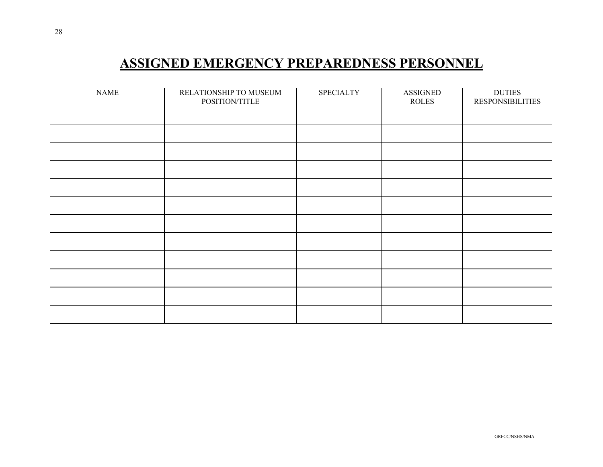### **ASSIGNED EMERGENCY PREPAREDNESS PERSONNEL**

| <b>NAME</b> | RELATIONSHIP TO MUSEUM<br>POSITION/TITLE | <b>SPECIALTY</b> | ASSIGNED<br><b>ROLES</b> | <b>DUTIES</b><br><b>RESPONSIBILITIES</b> |
|-------------|------------------------------------------|------------------|--------------------------|------------------------------------------|
|             |                                          |                  |                          |                                          |
|             |                                          |                  |                          |                                          |
|             |                                          |                  |                          |                                          |
|             |                                          |                  |                          |                                          |
|             |                                          |                  |                          |                                          |
|             |                                          |                  |                          |                                          |
|             |                                          |                  |                          |                                          |
|             |                                          |                  |                          |                                          |
|             |                                          |                  |                          |                                          |
|             |                                          |                  |                          |                                          |
|             |                                          |                  |                          |                                          |
|             |                                          |                  |                          |                                          |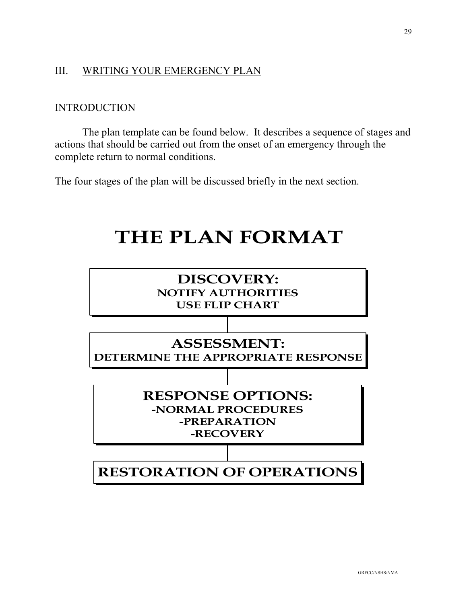### III. WRITING YOUR EMERGENCY PLAN

### INTRODUCTION

The plan template can be found below. It describes a sequence of stages and actions that should be carried out from the onset of an emergency through the complete return to normal conditions.

The four stages of the plan will be discussed briefly in the next section.

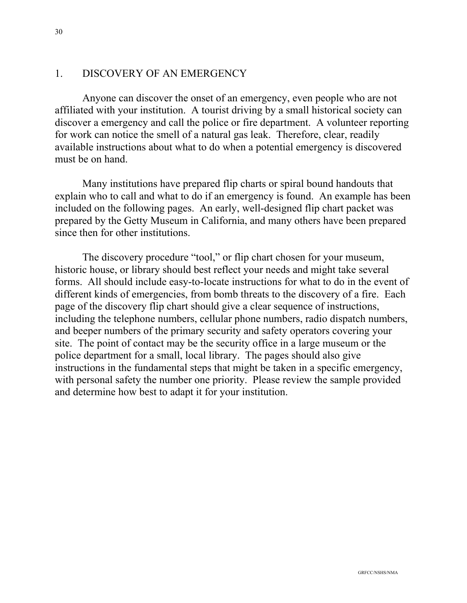### 1. DISCOVERY OF AN EMERGENCY

Anyone can discover the onset of an emergency, even people who are not affiliated with your institution. A tourist driving by a small historical society can discover a emergency and call the police or fire department. A volunteer reporting for work can notice the smell of a natural gas leak. Therefore, clear, readily available instructions about what to do when a potential emergency is discovered must be on hand.

Many institutions have prepared flip charts or spiral bound handouts that explain who to call and what to do if an emergency is found. An example has been included on the following pages. An early, well-designed flip chart packet was prepared by the Getty Museum in California, and many others have been prepared since then for other institutions.

The discovery procedure "tool," or flip chart chosen for your museum, historic house, or library should best reflect your needs and might take several forms. All should include easy-to-locate instructions for what to do in the event of different kinds of emergencies, from bomb threats to the discovery of a fire. Each page of the discovery flip chart should give a clear sequence of instructions, including the telephone numbers, cellular phone numbers, radio dispatch numbers, and beeper numbers of the primary security and safety operators covering your site. The point of contact may be the security office in a large museum or the police department for a small, local library. The pages should also give instructions in the fundamental steps that might be taken in a specific emergency, with personal safety the number one priority. Please review the sample provided and determine how best to adapt it for your institution.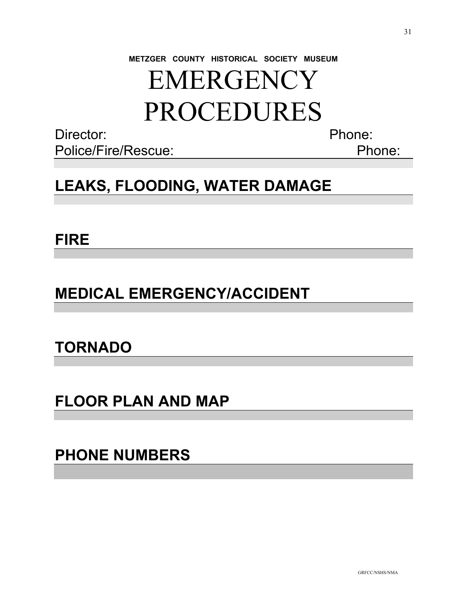**METZGER COUNTY HISTORICAL SOCIETY MUSEUM** 

# **EMERGENCY** PROCEDURES

Director: Phone: Police/Fire/Rescue: Phone:

# **LEAKS, FLOODING, WATER DAMAGE**

### **FIRE**

# **MEDICAL EMERGENCY/ACCIDENT**

# **TORNADO**

**FLOOR PLAN AND MAP** 

**PHONE NUMBERS**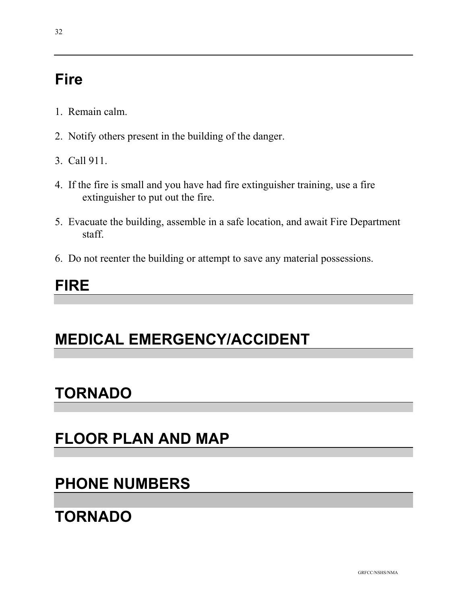# **Fire**

- 1. Remain calm.
- 2. Notify others present in the building of the danger.
- 3. Call 911.
- 4. If the fire is small and you have had fire extinguisher training, use a fire extinguisher to put out the fire.
- 5. Evacuate the building, assemble in a safe location, and await Fire Department staff.
- 6. Do not reenter the building or attempt to save any material possessions.

# **FIRE**

# **MEDICAL EMERGENCY/ACCIDENT**

# **TORNADO**

# **FLOOR PLAN AND MAP**

# **PHONE NUMBERS**

# **TORNADO**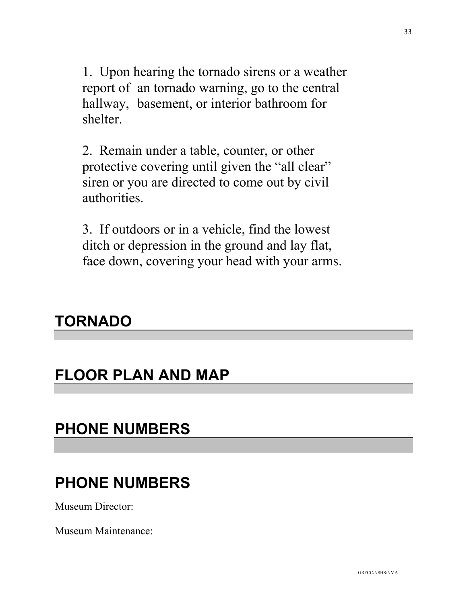1. Upon hearing the tornado sirens or a weather report of an tornado warning, go to the central hallway, basement, or interior bathroom for shelter.

2. Remain under a table, counter, or other protective covering until given the "all clear" siren or you are directed to come out by civil authorities.

3. If outdoors or in a vehicle, find the lowest ditch or depression in the ground and lay flat, face down, covering your head with your arms.

### **TORNADO**

### **FLOOR PLAN AND MAP**

### **PHONE NUMBERS**

# **PHONE NUMBERS**

Museum Director:

Museum Maintenance: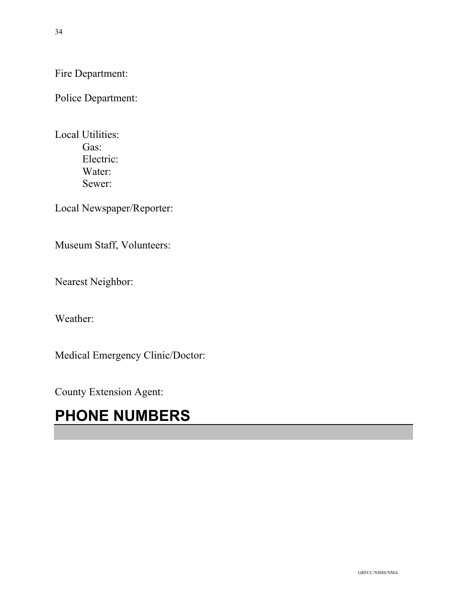Fire Department:

Police Department:

Local Utilities: Gas: Electric: Water: Sewer:

Local Newspaper/Reporter:

Museum Staff, Volunteers:

Nearest Neighbor:

Weather:

Medical Emergency Clinic/Doctor:

County Extension Agent:

# **PHONE NUMBERS**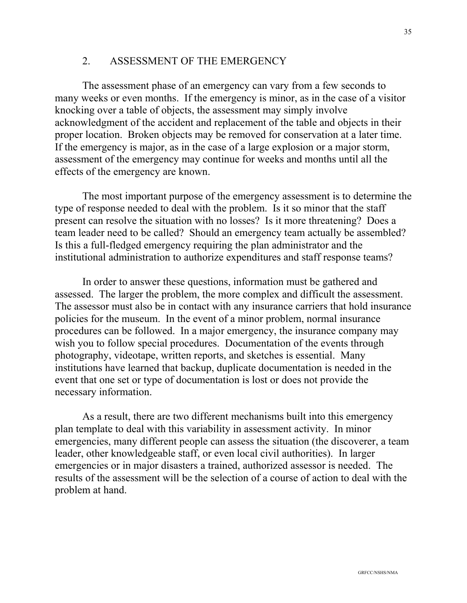### 2. ASSESSMENT OF THE EMERGENCY

The assessment phase of an emergency can vary from a few seconds to many weeks or even months. If the emergency is minor, as in the case of a visitor knocking over a table of objects, the assessment may simply involve acknowledgment of the accident and replacement of the table and objects in their proper location. Broken objects may be removed for conservation at a later time. If the emergency is major, as in the case of a large explosion or a major storm, assessment of the emergency may continue for weeks and months until all the effects of the emergency are known.

The most important purpose of the emergency assessment is to determine the type of response needed to deal with the problem. Is it so minor that the staff present can resolve the situation with no losses? Is it more threatening? Does a team leader need to be called? Should an emergency team actually be assembled? Is this a full-fledged emergency requiring the plan administrator and the institutional administration to authorize expenditures and staff response teams?

In order to answer these questions, information must be gathered and assessed. The larger the problem, the more complex and difficult the assessment. The assessor must also be in contact with any insurance carriers that hold insurance policies for the museum. In the event of a minor problem, normal insurance procedures can be followed. In a major emergency, the insurance company may wish you to follow special procedures. Documentation of the events through photography, videotape, written reports, and sketches is essential. Many institutions have learned that backup, duplicate documentation is needed in the event that one set or type of documentation is lost or does not provide the necessary information.

As a result, there are two different mechanisms built into this emergency plan template to deal with this variability in assessment activity. In minor emergencies, many different people can assess the situation (the discoverer, a team leader, other knowledgeable staff, or even local civil authorities). In larger emergencies or in major disasters a trained, authorized assessor is needed. The results of the assessment will be the selection of a course of action to deal with the problem at hand.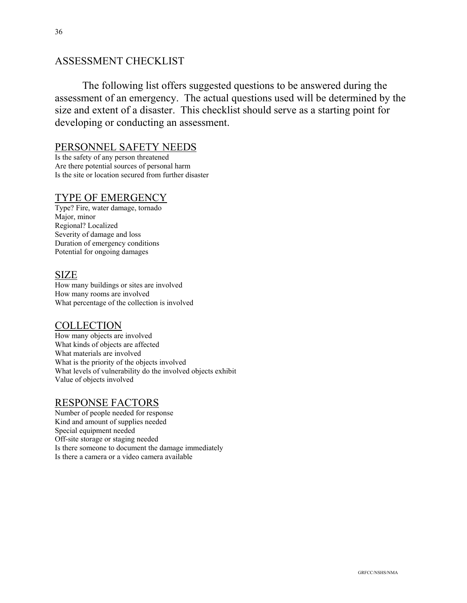### ASSESSMENT CHECKLIST

The following list offers suggested questions to be answered during the assessment of an emergency. The actual questions used will be determined by the size and extent of a disaster. This checklist should serve as a starting point for developing or conducting an assessment.

### PERSONNEL SAFETY NEEDS

Is the safety of any person threatened Are there potential sources of personal harm Is the site or location secured from further disaster

### TYPE OF EMERGENCY

Type? Fire, water damage, tornado Major, minor Regional? Localized Severity of damage and loss Duration of emergency conditions Potential for ongoing damages

### SIZE

How many buildings or sites are involved How many rooms are involved What percentage of the collection is involved

### COLLECTION

How many objects are involved What kinds of objects are affected What materials are involved What is the priority of the objects involved What levels of vulnerability do the involved objects exhibit Value of objects involved

### RESPONSE FACTORS

Number of people needed for response Kind and amount of supplies needed Special equipment needed Off-site storage or staging needed Is there someone to document the damage immediately Is there a camera or a video camera available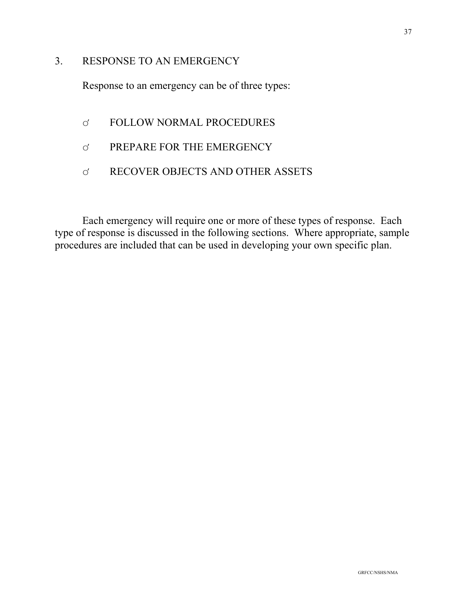### 3. RESPONSE TO AN EMERGENCY

Response to an emergency can be of three types:

- ! FOLLOW NORMAL PROCEDURES
- $\circ$  PREPARE FOR THE EMERGENCY
- ! RECOVER OBJECTS AND OTHER ASSETS

Each emergency will require one or more of these types of response. Each type of response is discussed in the following sections. Where appropriate, sample procedures are included that can be used in developing your own specific plan.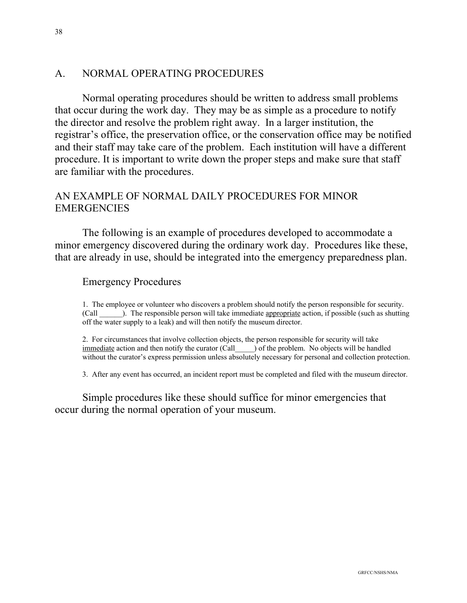### A. NORMAL OPERATING PROCEDURES

Normal operating procedures should be written to address small problems that occur during the work day. They may be as simple as a procedure to notify the director and resolve the problem right away. In a larger institution, the registrar's office, the preservation office, or the conservation office may be notified and their staff may take care of the problem. Each institution will have a different procedure. It is important to write down the proper steps and make sure that staff are familiar with the procedures.

### AN EXAMPLE OF NORMAL DAILY PROCEDURES FOR MINOR EMERGENCIES

The following is an example of procedures developed to accommodate a minor emergency discovered during the ordinary work day. Procedures like these, that are already in use, should be integrated into the emergency preparedness plan.

### Emergency Procedures

1. The employee or volunteer who discovers a problem should notify the person responsible for security. (Call  $\qquad$ ). The responsible person will take immediate appropriate action, if possible (such as shutting off the water supply to a leak) and will then notify the museum director.

2. For circumstances that involve collection objects, the person responsible for security will take immediate action and then notify the curator (Call\_\_\_\_\_) of the problem. No objects will be handled without the curator's express permission unless absolutely necessary for personal and collection protection.

3. After any event has occurred, an incident report must be completed and filed with the museum director.

Simple procedures like these should suffice for minor emergencies that occur during the normal operation of your museum.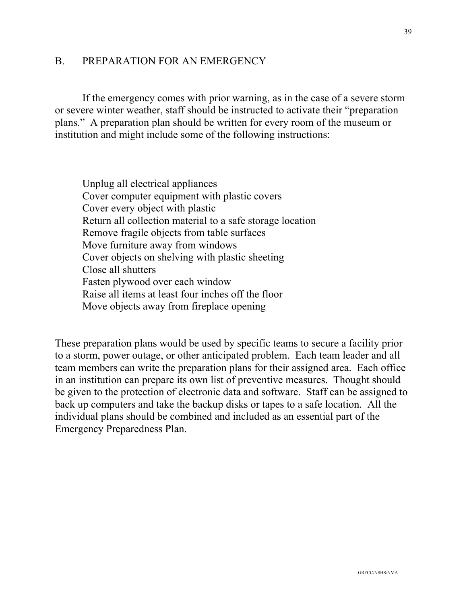### B. PREPARATION FOR AN EMERGENCY

If the emergency comes with prior warning, as in the case of a severe storm or severe winter weather, staff should be instructed to activate their "preparation plans." A preparation plan should be written for every room of the museum or institution and might include some of the following instructions:

Unplug all electrical appliances Cover computer equipment with plastic covers Cover every object with plastic Return all collection material to a safe storage location Remove fragile objects from table surfaces Move furniture away from windows Cover objects on shelving with plastic sheeting Close all shutters Fasten plywood over each window Raise all items at least four inches off the floor Move objects away from fireplace opening

These preparation plans would be used by specific teams to secure a facility prior to a storm, power outage, or other anticipated problem. Each team leader and all team members can write the preparation plans for their assigned area. Each office in an institution can prepare its own list of preventive measures. Thought should be given to the protection of electronic data and software. Staff can be assigned to back up computers and take the backup disks or tapes to a safe location. All the individual plans should be combined and included as an essential part of the Emergency Preparedness Plan.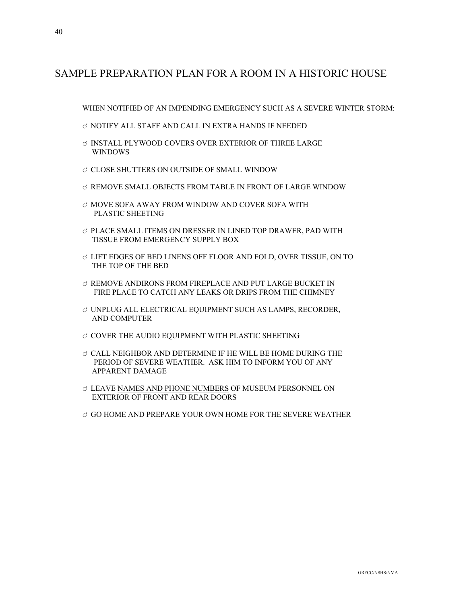### SAMPLE PREPARATION PLAN FOR A ROOM IN A HISTORIC HOUSE

WHEN NOTIFIED OF AN IMPENDING EMERGENCY SUCH AS A SEVERE WINTER STORM:

- ! NOTIFY ALL STAFF AND CALL IN EXTRA HANDS IF NEEDED
- o' INSTALL PLYWOOD COVERS OVER EXTERIOR OF THREE LARGE WINDOWS
- ! CLOSE SHUTTERS ON OUTSIDE OF SMALL WINDOW
- $\sigma$  REMOVE SMALL OBJECTS FROM TABLE IN FRONT OF LARGE WINDOW
- o' MOVE SOFA AWAY FROM WINDOW AND COVER SOFA WITH PLASTIC SHEETING
- ! PLACE SMALL ITEMS ON DRESSER IN LINED TOP DRAWER, PAD WITH TISSUE FROM EMERGENCY SUPPLY BOX
- ! LIFT EDGES OF BED LINENS OFF FLOOR AND FOLD, OVER TISSUE, ON TO THE TOP OF THE BED
- ! REMOVE ANDIRONS FROM FIREPLACE AND PUT LARGE BUCKET IN FIRE PLACE TO CATCH ANY LEAKS OR DRIPS FROM THE CHIMNEY
- ! UNPLUG ALL ELECTRICAL EQUIPMENT SUCH AS LAMPS, RECORDER, AND COMPUTER
- $\sigma$  COVER THE AUDIO EQUIPMENT WITH PLASTIC SHEETING
- $\sigma$  CALL NEIGHBOR AND DETERMINE IF HE WILL BE HOME DURING THE PERIOD OF SEVERE WEATHER. ASK HIM TO INFORM YOU OF ANY APPARENT DAMAGE
- o' LEAVE NAMES AND PHONE NUMBERS OF MUSEUM PERSONNEL ON EXTERIOR OF FRONT AND REAR DOORS
- $\sigma$  GO HOME AND PREPARE YOUR OWN HOME FOR THE SEVERE WEATHER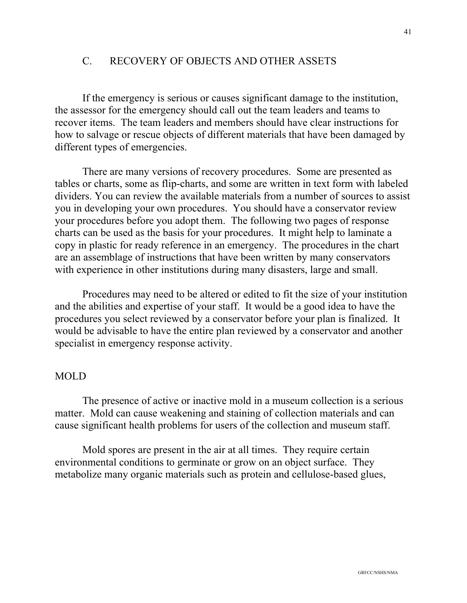### C. RECOVERY OF OBJECTS AND OTHER ASSETS

If the emergency is serious or causes significant damage to the institution, the assessor for the emergency should call out the team leaders and teams to recover items. The team leaders and members should have clear instructions for how to salvage or rescue objects of different materials that have been damaged by different types of emergencies.

There are many versions of recovery procedures. Some are presented as tables or charts, some as flip-charts, and some are written in text form with labeled dividers. You can review the available materials from a number of sources to assist you in developing your own procedures. You should have a conservator review your procedures before you adopt them. The following two pages of response charts can be used as the basis for your procedures. It might help to laminate a copy in plastic for ready reference in an emergency. The procedures in the chart are an assemblage of instructions that have been written by many conservators with experience in other institutions during many disasters, large and small.

Procedures may need to be altered or edited to fit the size of your institution and the abilities and expertise of your staff. It would be a good idea to have the procedures you select reviewed by a conservator before your plan is finalized. It would be advisable to have the entire plan reviewed by a conservator and another specialist in emergency response activity.

#### MOLD

The presence of active or inactive mold in a museum collection is a serious matter. Mold can cause weakening and staining of collection materials and can cause significant health problems for users of the collection and museum staff.

Mold spores are present in the air at all times. They require certain environmental conditions to germinate or grow on an object surface. They metabolize many organic materials such as protein and cellulose-based glues,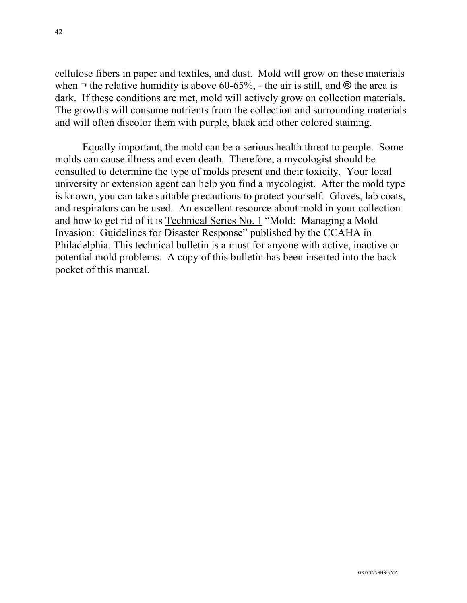cellulose fibers in paper and textiles, and dust. Mold will grow on these materials when  $\neg$  the relative humidity is above 60-65%, - the air is still, and  $\otimes$  the area is dark. If these conditions are met, mold will actively grow on collection materials. The growths will consume nutrients from the collection and surrounding materials and will often discolor them with purple, black and other colored staining.

Equally important, the mold can be a serious health threat to people. Some molds can cause illness and even death. Therefore, a mycologist should be consulted to determine the type of molds present and their toxicity. Your local university or extension agent can help you find a mycologist. After the mold type is known, you can take suitable precautions to protect yourself. Gloves, lab coats, and respirators can be used. An excellent resource about mold in your collection and how to get rid of it is Technical Series No. 1 "Mold: Managing a Mold Invasion: Guidelines for Disaster Response" published by the CCAHA in Philadelphia. This technical bulletin is a must for anyone with active, inactive or potential mold problems. A copy of this bulletin has been inserted into the back pocket of this manual.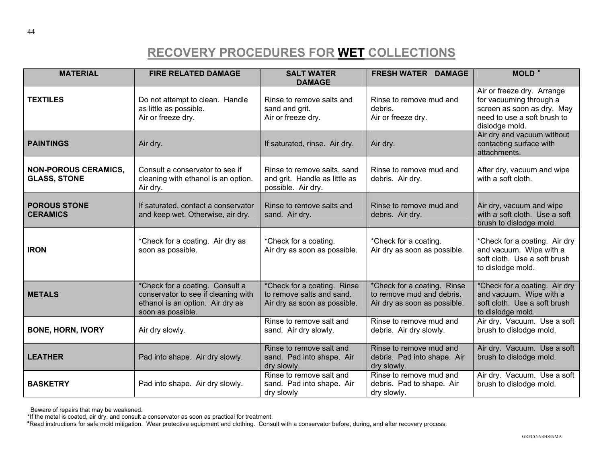### **RECOVERY PROCEDURES FOR WET COLLECTIONS**

| <b>MATERIAL</b>                                    | <b>FIRE RELATED DAMAGE</b>                                                                                                      | <b>SALT WATER</b><br><b>DAMAGE</b>                                                       | <b>FRESH WATER DAMAGE</b>                                                                | <b>MOLD</b> <sup>s</sup>                                                                                                             |
|----------------------------------------------------|---------------------------------------------------------------------------------------------------------------------------------|------------------------------------------------------------------------------------------|------------------------------------------------------------------------------------------|--------------------------------------------------------------------------------------------------------------------------------------|
| <b>TEXTILES</b>                                    | Do not attempt to clean. Handle<br>as little as possible.<br>Air or freeze dry.                                                 | Rinse to remove salts and<br>sand and grit.<br>Air or freeze dry.                        | Rinse to remove mud and<br>debris.<br>Air or freeze dry.                                 | Air or freeze dry. Arrange<br>for vacuuming through a<br>screen as soon as dry. May<br>need to use a soft brush to<br>dislodge mold. |
| <b>PAINTINGS</b>                                   | Air dry.                                                                                                                        | If saturated, rinse. Air dry.                                                            | Air dry.                                                                                 | Air dry and vacuum without<br>contacting surface with<br>attachments.                                                                |
| <b>NON-POROUS CERAMICS,</b><br><b>GLASS, STONE</b> | Consult a conservator to see if<br>cleaning with ethanol is an option.<br>Air dry.                                              | Rinse to remove salts, sand<br>and grit. Handle as little as<br>possible. Air dry.       | Rinse to remove mud and<br>debris. Air dry.                                              | After dry, vacuum and wipe<br>with a soft cloth.                                                                                     |
| <b>POROUS STONE</b><br><b>CERAMICS</b>             | If saturated, contact a conservator<br>and keep wet. Otherwise, air dry.                                                        | Rinse to remove salts and<br>sand. Air dry.                                              | Rinse to remove mud and<br>debris. Air dry.                                              | Air dry, vacuum and wipe<br>with a soft cloth. Use a soft<br>brush to dislodge mold.                                                 |
| <b>IRON</b>                                        | *Check for a coating. Air dry as<br>soon as possible.                                                                           | *Check for a coating.<br>Air dry as soon as possible.                                    | *Check for a coating.<br>Air dry as soon as possible.                                    | *Check for a coating. Air dry<br>and vacuum. Wipe with a<br>soft cloth. Use a soft brush<br>to dislodge mold.                        |
| <b>METALS</b>                                      | *Check for a coating. Consult a<br>conservator to see if cleaning with<br>ethanol is an option. Air dry as<br>soon as possible. | *Check for a coating. Rinse<br>to remove salts and sand.<br>Air dry as soon as possible. | *Check for a coating. Rinse<br>to remove mud and debris.<br>Air dry as soon as possible. | *Check for a coating. Air dry<br>and vacuum. Wipe with a<br>soft cloth. Use a soft brush<br>to dislodge mold.                        |
| <b>BONE, HORN, IVORY</b>                           | Air dry slowly.                                                                                                                 | Rinse to remove salt and<br>sand. Air dry slowly.                                        | Rinse to remove mud and<br>debris. Air dry slowly.                                       | Air dry. Vacuum. Use a soft<br>brush to dislodge mold.                                                                               |
| <b>LEATHER</b>                                     | Pad into shape. Air dry slowly.                                                                                                 | Rinse to remove salt and<br>sand. Pad into shape. Air<br>dry slowly.                     | Rinse to remove mud and<br>debris. Pad into shape. Air<br>dry slowly.                    | Air dry. Vacuum. Use a soft<br>brush to dislodge mold.                                                                               |
| <b>BASKETRY</b>                                    | Pad into shape. Air dry slowly.                                                                                                 | Rinse to remove salt and<br>sand. Pad into shape. Air<br>dry slowly                      | Rinse to remove mud and<br>debris. Pad to shape. Air<br>dry slowly.                      | Air dry. Vacuum. Use a soft<br>brush to dislodge mold.                                                                               |

Beware of repairs that may be weakened.

\*If the metal is coated, air dry, and consult a conservator as soon as practical for treatment.<br><sup>s</sup>Read instructions for safe mold mitigation. Wear protective equipment and clothing. Consult with a conservator before, du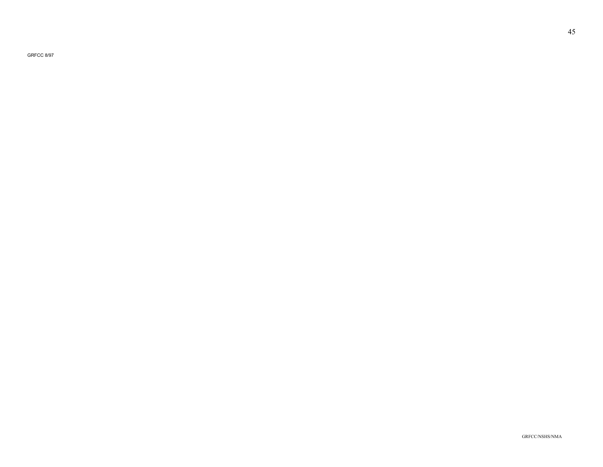GRFCC 8/97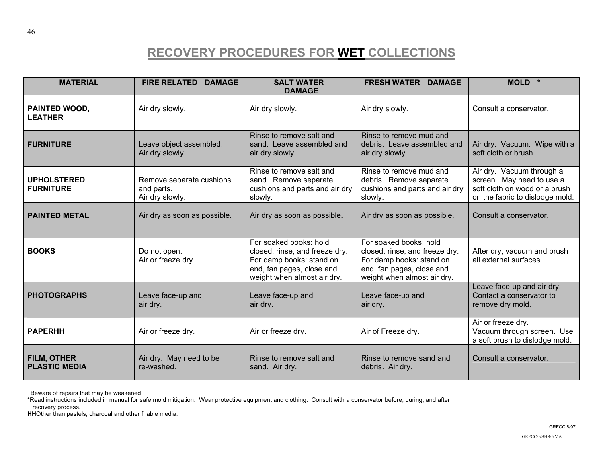### **RECOVERY PROCEDURES FOR WET COLLECTIONS**

| <b>MATERIAL</b>                            | <b>FIRE RELATED DAMAGE</b>                                | <b>SALT WATER</b><br><b>DAMAGE</b>                                                                                                               | <b>FRESH WATER DAMAGE</b>                                                                                                                        | MOLD *                                                                                                                     |
|--------------------------------------------|-----------------------------------------------------------|--------------------------------------------------------------------------------------------------------------------------------------------------|--------------------------------------------------------------------------------------------------------------------------------------------------|----------------------------------------------------------------------------------------------------------------------------|
| PAINTED WOOD,<br><b>LEATHER</b>            | Air dry slowly.                                           | Air dry slowly.                                                                                                                                  | Air dry slowly.                                                                                                                                  | Consult a conservator.                                                                                                     |
| <b>FURNITURE</b>                           | Leave object assembled.<br>Air dry slowly.                | Rinse to remove salt and<br>sand. Leave assembled and<br>air dry slowly.                                                                         | Rinse to remove mud and<br>debris. Leave assembled and<br>air dry slowly.                                                                        | Air dry. Vacuum. Wipe with a<br>soft cloth or brush.                                                                       |
| <b>UPHOLSTERED</b><br><b>FURNITURE</b>     | Remove separate cushions<br>and parts.<br>Air dry slowly. | Rinse to remove salt and<br>sand. Remove separate<br>cushions and parts and air dry<br>slowly.                                                   | Rinse to remove mud and<br>debris. Remove separate<br>cushions and parts and air dry<br>slowly.                                                  | Air dry. Vacuum through a<br>screen. May need to use a<br>soft cloth on wood or a brush<br>on the fabric to dislodge mold. |
| <b>PAINTED METAL</b>                       | Air dry as soon as possible.                              | Air dry as soon as possible.                                                                                                                     | Air dry as soon as possible.                                                                                                                     | Consult a conservator.                                                                                                     |
| <b>BOOKS</b>                               | Do not open.<br>Air or freeze dry.                        | For soaked books: hold<br>closed, rinse, and freeze dry.<br>For damp books: stand on<br>end, fan pages, close and<br>weight when almost air dry. | For soaked books: hold<br>closed, rinse, and freeze dry.<br>For damp books: stand on<br>end, fan pages, close and<br>weight when almost air dry. | After dry, vacuum and brush<br>all external surfaces.                                                                      |
| <b>PHOTOGRAPHS</b>                         | Leave face-up and<br>air dry.                             | Leave face-up and<br>air dry.                                                                                                                    | Leave face-up and<br>air dry.                                                                                                                    | Leave face-up and air dry.<br>Contact a conservator to<br>remove dry mold.                                                 |
| <b>PAPERHH</b>                             | Air or freeze dry.                                        | Air or freeze dry.                                                                                                                               | Air of Freeze dry.                                                                                                                               | Air or freeze dry.<br>Vacuum through screen. Use<br>a soft brush to dislodge mold.                                         |
| <b>FILM, OTHER</b><br><b>PLASTIC MEDIA</b> | Air dry. May need to be<br>re-washed.                     | Rinse to remove salt and<br>sand. Air dry.                                                                                                       | Rinse to remove sand and<br>debris. Air dry.                                                                                                     | Consult a conservator.                                                                                                     |

Beware of repairs that may be weakened.

\*Read instructions included in manual for safe mold mitigation. Wear protective equipment and clothing. Consult with a conservator before, during, and after recovery process.

**HH**Other than pastels, charcoal and other friable media.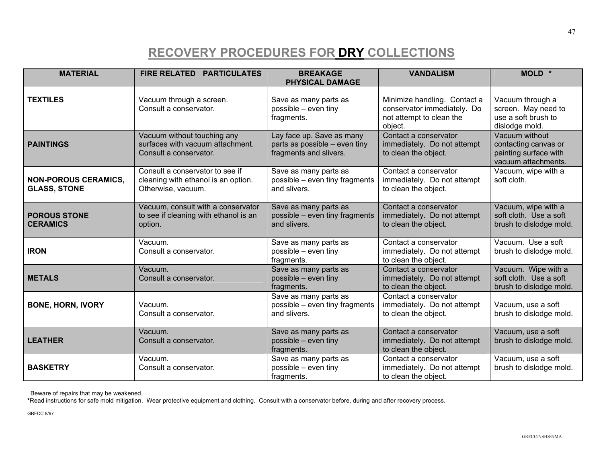### **RECOVERY PROCEDURES FOR DRY COLLECTIONS**

| <b>MATERIAL</b>                                    | <b>FIRE RELATED PARTICULATES</b>                                                             | <b>BREAKAGE</b><br><b>PHYSICAL DAMAGE</b>                                            | <b>VANDALISM</b>                                                                                   | MOLD <sup>*</sup>                                                                      |
|----------------------------------------------------|----------------------------------------------------------------------------------------------|--------------------------------------------------------------------------------------|----------------------------------------------------------------------------------------------------|----------------------------------------------------------------------------------------|
| <b>TEXTILES</b>                                    | Vacuum through a screen.<br>Consult a conservator.                                           | Save as many parts as<br>possible - even tiny<br>fragments.                          | Minimize handling. Contact a<br>conservator immediately. Do<br>not attempt to clean the<br>object. | Vacuum through a<br>screen. May need to<br>use a soft brush to<br>dislodge mold.       |
| <b>PAINTINGS</b>                                   | Vacuum without touching any<br>surfaces with vacuum attachment.<br>Consult a conservator.    | Lay face up. Save as many<br>parts as possible - even tiny<br>fragments and slivers. | Contact a conservator<br>immediately. Do not attempt<br>to clean the object.                       | Vacuum without<br>contacting canvas or<br>painting surface with<br>vacuum attachments. |
| <b>NON-POROUS CERAMICS,</b><br><b>GLASS, STONE</b> | Consult a conservator to see if<br>cleaning with ethanol is an option.<br>Otherwise, vacuum. | Save as many parts as<br>possible - even tiny fragments<br>and slivers.              | Contact a conservator<br>immediately. Do not attempt<br>to clean the object.                       | Vacuum, wipe with a<br>soft cloth.                                                     |
| <b>POROUS STONE</b><br><b>CERAMICS</b>             | Vacuum, consult with a conservator<br>to see if cleaning with ethanol is an<br>option.       | Save as many parts as<br>possible - even tiny fragments<br>and slivers.              | Contact a conservator<br>immediately. Do not attempt<br>to clean the object.                       | Vacuum, wipe with a<br>soft cloth. Use a soft<br>brush to dislodge mold.               |
| <b>IRON</b>                                        | Vacuum.<br>Consult a conservator.                                                            | Save as many parts as<br>possible - even tiny<br>fragments.                          | Contact a conservator<br>immediately. Do not attempt<br>to clean the object.                       | Vacuum. Use a soft<br>brush to dislodge mold.                                          |
| <b>METALS</b>                                      | Vacuum.<br>Consult a conservator.                                                            | Save as many parts as<br>possible - even tiny<br>fragments.                          | Contact a conservator<br>immediately. Do not attempt<br>to clean the object.                       | Vacuum. Wipe with a<br>soft cloth. Use a soft<br>brush to dislodge mold.               |
| <b>BONE, HORN, IVORY</b>                           | Vacuum.<br>Consult a conservator.                                                            | Save as many parts as<br>possible - even tiny fragments<br>and slivers.              | Contact a conservator<br>immediately. Do not attempt<br>to clean the object.                       | Vacuum, use a soft<br>brush to dislodge mold.                                          |
| <b>LEATHER</b>                                     | Vacuum.<br>Consult a conservator.                                                            | Save as many parts as<br>possible - even tiny<br>fragments.                          | Contact a conservator<br>immediately. Do not attempt<br>to clean the object.                       | Vacuum, use a soft<br>brush to dislodge mold.                                          |
| <b>BASKETRY</b>                                    | Vacuum.<br>Consult a conservator.                                                            | Save as many parts as<br>possible - even tiny<br>fragments.                          | Contact a conservator<br>immediately. Do not attempt<br>to clean the object.                       | Vacuum, use a soft<br>brush to dislodge mold.                                          |

Beware of repairs that may be weakened.

**\***Read instructions for safe mold mitigation. Wear protective equipment and clothing. Consult with a conservator before, during and after recovery process.

GRFCC 8/97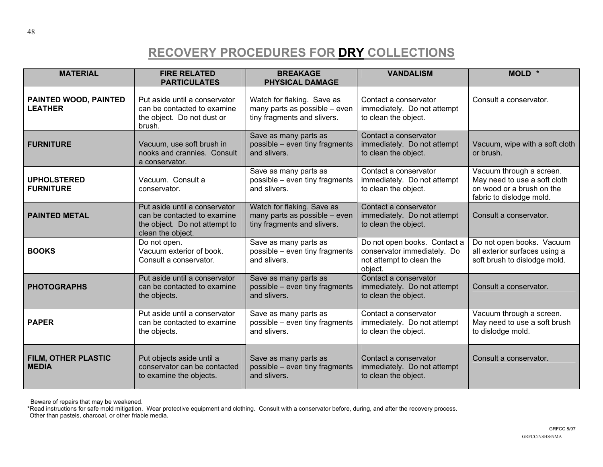### **RECOVERY PROCEDURES FOR DRY COLLECTIONS**

| <b>MATERIAL</b>                         | <b>FIRE RELATED</b><br><b>PARTICULATES</b>                                                                         | <b>BREAKAGE</b><br><b>PHYSICAL DAMAGE</b>                                                  | <b>VANDALISM</b>                                                                                   | MOLD *                                                                                                            |
|-----------------------------------------|--------------------------------------------------------------------------------------------------------------------|--------------------------------------------------------------------------------------------|----------------------------------------------------------------------------------------------------|-------------------------------------------------------------------------------------------------------------------|
| PAINTED WOOD, PAINTED<br><b>LEATHER</b> | Put aside until a conservator<br>can be contacted to examine<br>the object. Do not dust or<br>brush.               | Watch for flaking. Save as<br>many parts as possible - even<br>tiny fragments and slivers. | Contact a conservator<br>immediately. Do not attempt<br>to clean the object.                       | Consult a conservator.                                                                                            |
| <b>FURNITURE</b>                        | Vacuum, use soft brush in<br>nooks and crannies. Consult<br>a conservator.                                         | Save as many parts as<br>possible - even tiny fragments<br>and slivers.                    | Contact a conservator<br>immediately. Do not attempt<br>to clean the object.                       | Vacuum, wipe with a soft cloth<br>or brush.                                                                       |
| <b>UPHOLSTERED</b><br><b>FURNITURE</b>  | Vacuum. Consult a<br>conservator.                                                                                  | Save as many parts as<br>possible – even tiny fragments<br>and slivers.                    | Contact a conservator<br>immediately. Do not attempt<br>to clean the object.                       | Vacuum through a screen.<br>May need to use a soft cloth<br>on wood or a brush on the<br>fabric to dislodge mold. |
| <b>PAINTED METAL</b>                    | Put aside until a conservator<br>can be contacted to examine<br>the object. Do not attempt to<br>clean the object. | Watch for flaking. Save as<br>many parts as possible - even<br>tiny fragments and slivers. | Contact a conservator<br>immediately. Do not attempt<br>to clean the object.                       | Consult a conservator.                                                                                            |
| <b>BOOKS</b>                            | Do not open.<br>Vacuum exterior of book.<br>Consult a conservator.                                                 | Save as many parts as<br>possible - even tiny fragments<br>and slivers.                    | Do not open books. Contact a<br>conservator immediately. Do<br>not attempt to clean the<br>object. | Do not open books. Vacuum<br>all exterior surfaces using a<br>soft brush to dislodge mold.                        |
| <b>PHOTOGRAPHS</b>                      | Put aside until a conservator<br>can be contacted to examine<br>the objects.                                       | Save as many parts as<br>possible - even tiny fragments<br>and slivers.                    | Contact a conservator<br>immediately. Do not attempt<br>to clean the object.                       | Consult a conservator.                                                                                            |
| <b>PAPER</b>                            | Put aside until a conservator<br>can be contacted to examine<br>the objects.                                       | Save as many parts as<br>possible – even tiny fragments<br>and slivers.                    | Contact a conservator<br>immediately. Do not attempt<br>to clean the object.                       | Vacuum through a screen.<br>May need to use a soft brush<br>to dislodge mold.                                     |
| FILM, OTHER PLASTIC<br><b>MEDIA</b>     | Put objects aside until a<br>conservator can be contacted<br>to examine the objects.                               | Save as many parts as<br>possible - even tiny fragments<br>and slivers.                    | Contact a conservator<br>immediately. Do not attempt<br>to clean the object.                       | Consult a conservator.                                                                                            |

Beware of repairs that may be weakened.

\*Read instructions for safe mold mitigation. Wear protective equipment and clothing. Consult with a conservator before, during, and after the recovery process. " Other than pastels, charcoal, or other friable media.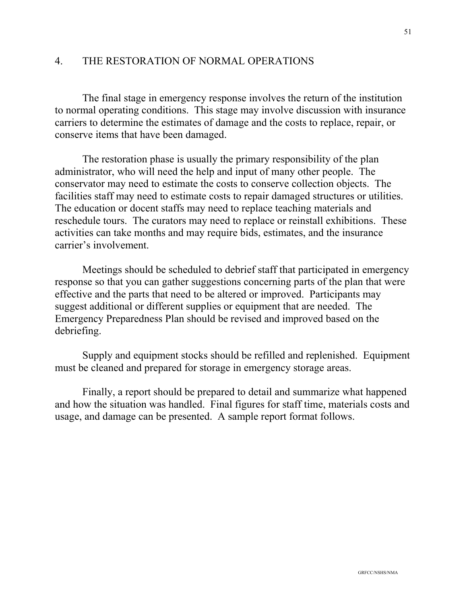### 4. THE RESTORATION OF NORMAL OPERATIONS

The final stage in emergency response involves the return of the institution to normal operating conditions. This stage may involve discussion with insurance carriers to determine the estimates of damage and the costs to replace, repair, or conserve items that have been damaged.

The restoration phase is usually the primary responsibility of the plan administrator, who will need the help and input of many other people. The conservator may need to estimate the costs to conserve collection objects. The facilities staff may need to estimate costs to repair damaged structures or utilities. The education or docent staffs may need to replace teaching materials and reschedule tours. The curators may need to replace or reinstall exhibitions. These activities can take months and may require bids, estimates, and the insurance carrier's involvement.

Meetings should be scheduled to debrief staff that participated in emergency response so that you can gather suggestions concerning parts of the plan that were effective and the parts that need to be altered or improved. Participants may suggest additional or different supplies or equipment that are needed. The Emergency Preparedness Plan should be revised and improved based on the debriefing.

Supply and equipment stocks should be refilled and replenished. Equipment must be cleaned and prepared for storage in emergency storage areas.

Finally, a report should be prepared to detail and summarize what happened and how the situation was handled. Final figures for staff time, materials costs and usage, and damage can be presented. A sample report format follows.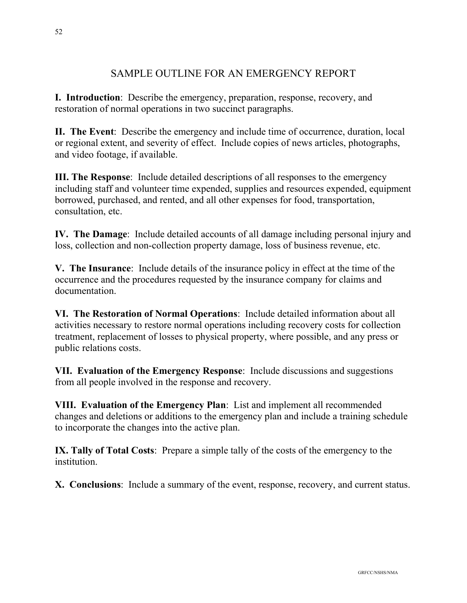### SAMPLE OUTLINE FOR AN EMERGENCY REPORT

**I. Introduction**: Describe the emergency, preparation, response, recovery, and restoration of normal operations in two succinct paragraphs.

**II. The Event**: Describe the emergency and include time of occurrence, duration, local or regional extent, and severity of effect. Include copies of news articles, photographs, and video footage, if available.

**III. The Response**: Include detailed descriptions of all responses to the emergency including staff and volunteer time expended, supplies and resources expended, equipment borrowed, purchased, and rented, and all other expenses for food, transportation, consultation, etc.

**IV. The Damage**: Include detailed accounts of all damage including personal injury and loss, collection and non-collection property damage, loss of business revenue, etc.

**V. The Insurance**: Include details of the insurance policy in effect at the time of the occurrence and the procedures requested by the insurance company for claims and documentation.

**VI. The Restoration of Normal Operations**: Include detailed information about all activities necessary to restore normal operations including recovery costs for collection treatment, replacement of losses to physical property, where possible, and any press or public relations costs.

**VII. Evaluation of the Emergency Response**: Include discussions and suggestions from all people involved in the response and recovery.

**VIII. Evaluation of the Emergency Plan**: List and implement all recommended changes and deletions or additions to the emergency plan and include a training schedule to incorporate the changes into the active plan.

**IX. Tally of Total Costs**: Prepare a simple tally of the costs of the emergency to the institution.

**X. Conclusions**: Include a summary of the event, response, recovery, and current status.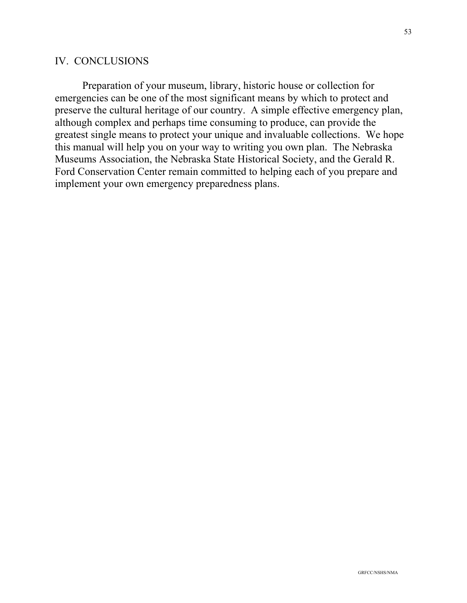#### IV. CONCLUSIONS

Preparation of your museum, library, historic house or collection for emergencies can be one of the most significant means by which to protect and preserve the cultural heritage of our country. A simple effective emergency plan, although complex and perhaps time consuming to produce, can provide the greatest single means to protect your unique and invaluable collections. We hope this manual will help you on your way to writing you own plan. The Nebraska Museums Association, the Nebraska State Historical Society, and the Gerald R. Ford Conservation Center remain committed to helping each of you prepare and implement your own emergency preparedness plans.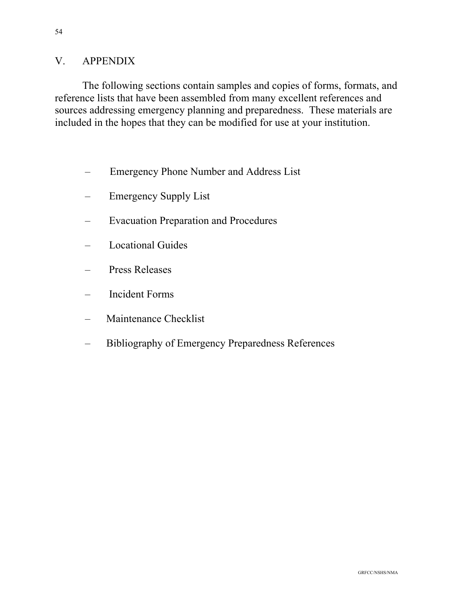### V. APPENDIX

The following sections contain samples and copies of forms, formats, and reference lists that have been assembled from many excellent references and sources addressing emergency planning and preparedness. These materials are included in the hopes that they can be modified for use at your institution.

- Emergency Phone Number and Address List
- Emergency Supply List
- Evacuation Preparation and Procedures
- Locational Guides
- Press Releases
- Incident Forms
- Maintenance Checklist
- Bibliography of Emergency Preparedness References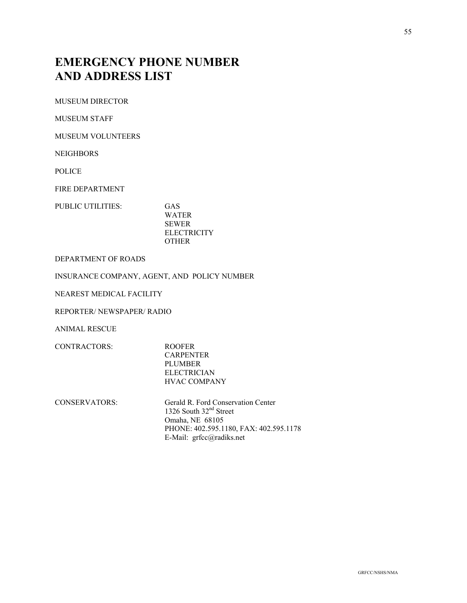### **EMERGENCY PHONE NUMBER AND ADDRESS LIST**

MUSEUM DIRECTOR

MUSEUM STAFF

MUSEUM VOLUNTEERS

NEIGHBORS

POLICE

FIRE DEPARTMENT

PUBLIC UTILITIES: GAS

 WATER SEWER **ELECTRICITY** OTHER

DEPARTMENT OF ROADS

INSURANCE COMPANY, AGENT, AND POLICY NUMBER

NEAREST MEDICAL FACILITY

REPORTER/ NEWSPAPER/ RADIO

ANIMAL RESCUE

CONTRACTORS: ROOFER

 CARPENTER PLUMBER ELECTRICIAN HVAC COMPANY

CONSERVATORS: Gerald R. Ford Conservation Center 1326 South 32<sup>nd</sup> Street Omaha, NE 68105 PHONE: 402.595.1180, FAX: 402.595.1178 E-Mail: grfcc@radiks.net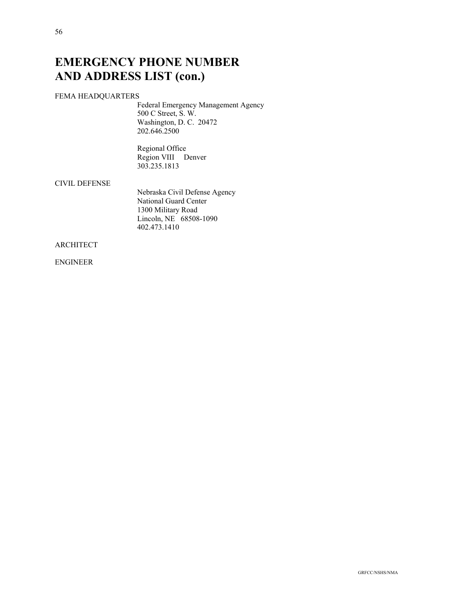### **EMERGENCY PHONE NUMBER AND ADDRESS LIST (con.)**

#### FEMA HEADQUARTERS

 Federal Emergency Management Agency 500 C Street, S. W. Washington, D. C. 20472 202.646.2500

 Regional Office Region VIII Denver 303.235.1813

#### CIVIL DEFENSE

 Nebraska Civil Defense Agency National Guard Center 1300 Military Road Lincoln, NE 68508-1090 402.473.1410

#### ARCHITECT

ENGINEER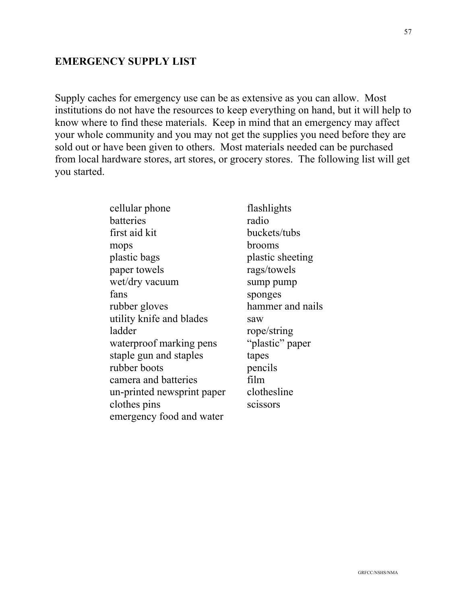### **EMERGENCY SUPPLY LIST**

Supply caches for emergency use can be as extensive as you can allow. Most institutions do not have the resources to keep everything on hand, but it will help to know where to find these materials. Keep in mind that an emergency may affect your whole community and you may not get the supplies you need before they are sold out or have been given to others. Most materials needed can be purchased from local hardware stores, art stores, or grocery stores. The following list will get you started.

| cellular phone             | flashlights      |
|----------------------------|------------------|
| batteries                  | radio            |
| first aid kit              | buckets/tubs     |
| mops                       | brooms           |
| plastic bags               | plastic sheeting |
| paper towels               | rags/towels      |
| wet/dry vacuum             | sump pump        |
| fans                       | sponges          |
| rubber gloves              | hammer and nails |
| utility knife and blades   | saw              |
| ladder                     | rope/string      |
| waterproof marking pens    | "plastic" paper  |
| staple gun and staples     | tapes            |
| rubber boots               | pencils          |
| camera and batteries       | film             |
| un-printed newsprint paper | clothesline      |
| clothes pins               | scissors         |
| emergency food and water   |                  |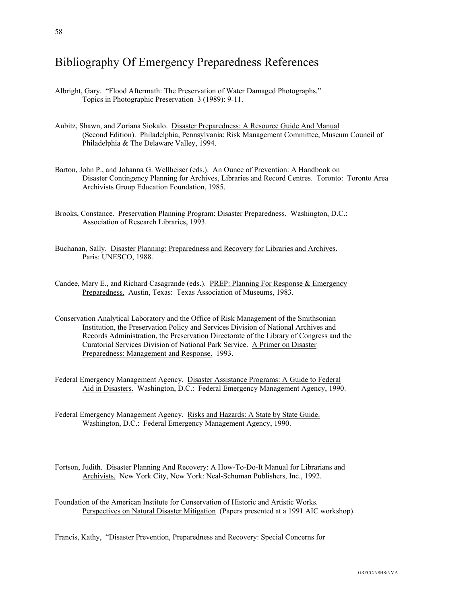### Bibliography Of Emergency Preparedness References

- Albright, Gary. "Flood Aftermath: The Preservation of Water Damaged Photographs." Topics in Photographic Preservation 3 (1989): 9-11.
- Aubitz, Shawn, and Zoriana Siokalo. Disaster Preparedness: A Resource Guide And Manual (Second Edition). Philadelphia, Pennsylvania: Risk Management Committee, Museum Council of Philadelphia & The Delaware Valley, 1994.
- Barton, John P., and Johanna G. Wellheiser (eds.). An Ounce of Prevention: A Handbook on Disaster Contingency Planning for Archives, Libraries and Record Centres. Toronto: Toronto Area Archivists Group Education Foundation, 1985.
- Brooks, Constance. Preservation Planning Program: Disaster Preparedness. Washington, D.C.: Association of Research Libraries, 1993.
- Buchanan, Sally. Disaster Planning: Preparedness and Recovery for Libraries and Archives. Paris: UNESCO, 1988.
- Candee, Mary E., and Richard Casagrande (eds.). PREP: Planning For Response & Emergency Preparedness. Austin, Texas: Texas Association of Museums, 1983.
- Conservation Analytical Laboratory and the Office of Risk Management of the Smithsonian Institution, the Preservation Policy and Services Division of National Archives and Records Administration, the Preservation Directorate of the Library of Congress and the Curatorial Services Division of National Park Service. A Primer on Disaster Preparedness: Management and Response. 1993.
- Federal Emergency Management Agency. Disaster Assistance Programs: A Guide to Federal Aid in Disasters. Washington, D.C.: Federal Emergency Management Agency, 1990.
- Federal Emergency Management Agency. Risks and Hazards: A State by State Guide. Washington, D.C.: Federal Emergency Management Agency, 1990.
- Fortson, Judith. Disaster Planning And Recovery: A How-To-Do-It Manual for Librarians and Archivists. New York City, New York: Neal-Schuman Publishers, Inc., 1992.
- Foundation of the American Institute for Conservation of Historic and Artistic Works. Perspectives on Natural Disaster Mitigation (Papers presented at a 1991 AIC workshop).

Francis, Kathy, "Disaster Prevention, Preparedness and Recovery: Special Concerns for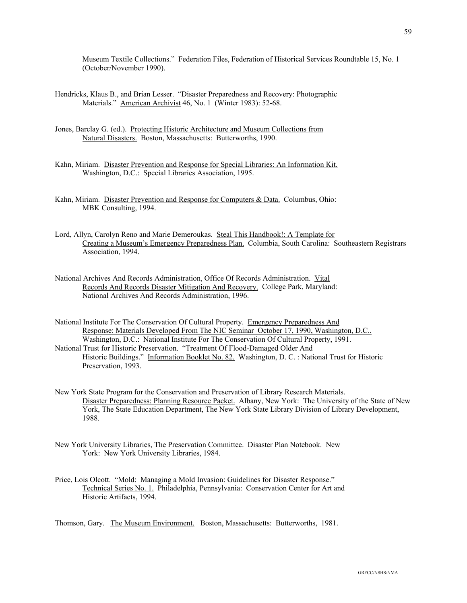Museum Textile Collections." Federation Files, Federation of Historical Services Roundtable 15, No. 1 (October/November 1990).

- Hendricks, Klaus B., and Brian Lesser. "Disaster Preparedness and Recovery: Photographic Materials." American Archivist 46, No. 1 (Winter 1983): 52-68.
- Jones, Barclay G. (ed.). Protecting Historic Architecture and Museum Collections from Natural Disasters. Boston, Massachusetts: Butterworths, 1990.
- Kahn, Miriam. Disaster Prevention and Response for Special Libraries: An Information Kit. Washington, D.C.: Special Libraries Association, 1995.
- Kahn, Miriam. Disaster Prevention and Response for Computers & Data. Columbus, Ohio: MBK Consulting, 1994.
- Lord, Allyn, Carolyn Reno and Marie Demeroukas. Steal This Handbook!: A Template for Creating a Museum's Emergency Preparedness Plan. Columbia, South Carolina: Southeastern Registrars Association, 1994.
- National Archives And Records Administration, Office Of Records Administration. Vital Records And Records Disaster Mitigation And Recovery. College Park, Maryland: National Archives And Records Administration, 1996.

National Institute For The Conservation Of Cultural Property. Emergency Preparedness And Response: Materials Developed From The NIC Seminar October 17, 1990, Washington, D.C.. Washington, D.C.: National Institute For The Conservation Of Cultural Property, 1991.

- National Trust for Historic Preservation. "Treatment Of Flood-Damaged Older And Historic Buildings." Information Booklet No. 82. Washington, D. C. : National Trust for Historic Preservation, 1993.
- New York State Program for the Conservation and Preservation of Library Research Materials. Disaster Preparedness: Planning Resource Packet. Albany, New York: The University of the State of New York, The State Education Department, The New York State Library Division of Library Development, 1988.
- New York University Libraries, The Preservation Committee. Disaster Plan Notebook. New York: New York University Libraries, 1984.
- Price, Lois Olcott. "Mold: Managing a Mold Invasion: Guidelines for Disaster Response." Technical Series No. 1. Philadelphia, Pennsylvania: Conservation Center for Art and Historic Artifacts, 1994.

Thomson, Gary. The Museum Environment. Boston, Massachusetts: Butterworths, 1981.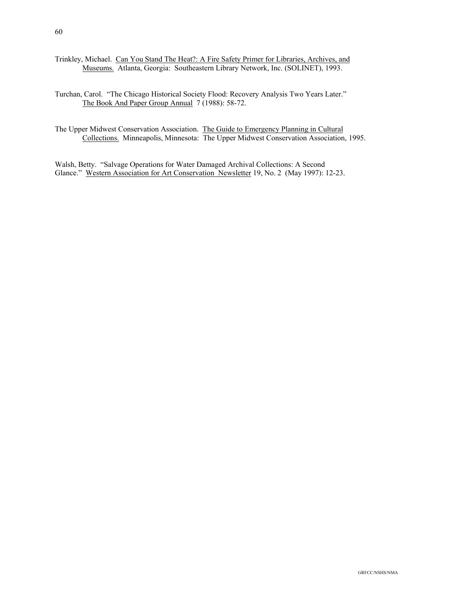- Trinkley, Michael. Can You Stand The Heat?: A Fire Safety Primer for Libraries, Archives, and Museums. Atlanta, Georgia: Southeastern Library Network, Inc. (SOLINET), 1993.
- Turchan, Carol. "The Chicago Historical Society Flood: Recovery Analysis Two Years Later." The Book And Paper Group Annual 7 (1988): 58-72.
- The Upper Midwest Conservation Association. The Guide to Emergency Planning in Cultural Collections. Minneapolis, Minnesota: The Upper Midwest Conservation Association, 1995.

Walsh, Betty. "Salvage Operations for Water Damaged Archival Collections: A Second Glance." Western Association for Art Conservation Newsletter 19, No. 2 (May 1997): 12-23.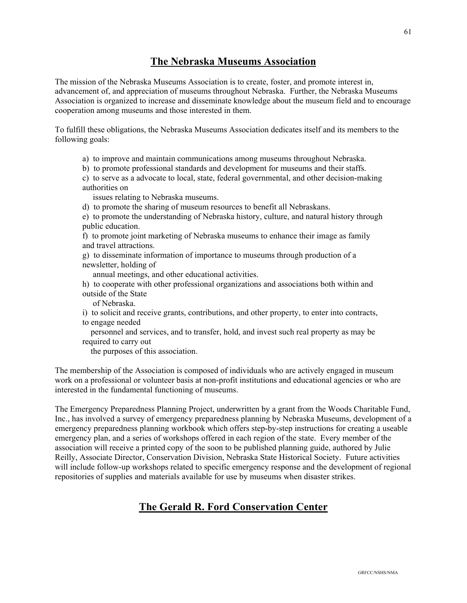### **The Nebraska Museums Association**

The mission of the Nebraska Museums Association is to create, foster, and promote interest in, advancement of, and appreciation of museums throughout Nebraska. Further, the Nebraska Museums Association is organized to increase and disseminate knowledge about the museum field and to encourage cooperation among museums and those interested in them.

To fulfill these obligations, the Nebraska Museums Association dedicates itself and its members to the following goals:

a) to improve and maintain communications among museums throughout Nebraska.

b) to promote professional standards and development for museums and their staffs.

c) to serve as a advocate to local, state, federal governmental, and other decision-making authorities on

issues relating to Nebraska museums.

d) to promote the sharing of museum resources to benefit all Nebraskans.

e) to promote the understanding of Nebraska history, culture, and natural history through public education.

f) to promote joint marketing of Nebraska museums to enhance their image as family and travel attractions.

g) to disseminate information of importance to museums through production of a newsletter, holding of

annual meetings, and other educational activities.

h) to cooperate with other professional organizations and associations both within and outside of the State

of Nebraska.

i) to solicit and receive grants, contributions, and other property, to enter into contracts, to engage needed

 personnel and services, and to transfer, hold, and invest such real property as may be required to carry out

the purposes of this association.

The membership of the Association is composed of individuals who are actively engaged in museum work on a professional or volunteer basis at non-profit institutions and educational agencies or who are interested in the fundamental functioning of museums.

The Emergency Preparedness Planning Project, underwritten by a grant from the Woods Charitable Fund, Inc., has involved a survey of emergency preparedness planning by Nebraska Museums, development of a emergency preparedness planning workbook which offers step-by-step instructions for creating a useable emergency plan, and a series of workshops offered in each region of the state. Every member of the association will receive a printed copy of the soon to be published planning guide, authored by Julie Reilly, Associate Director, Conservation Division, Nebraska State Historical Society. Future activities will include follow-up workshops related to specific emergency response and the development of regional repositories of supplies and materials available for use by museums when disaster strikes.

### **The Gerald R. Ford Conservation Center**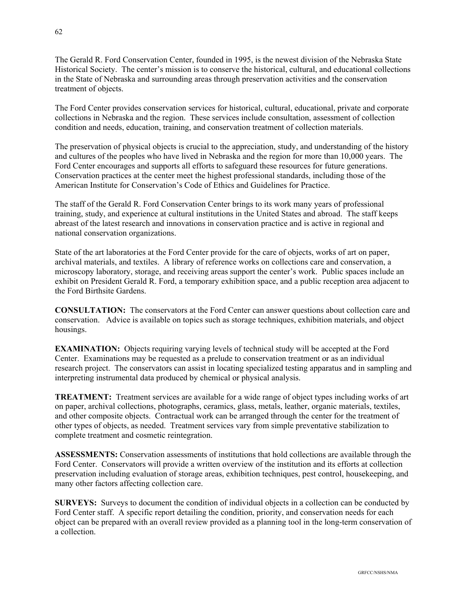The Gerald R. Ford Conservation Center, founded in 1995, is the newest division of the Nebraska State Historical Society. The center's mission is to conserve the historical, cultural, and educational collections in the State of Nebraska and surrounding areas through preservation activities and the conservation treatment of objects.

The Ford Center provides conservation services for historical, cultural, educational, private and corporate collections in Nebraska and the region. These services include consultation, assessment of collection condition and needs, education, training, and conservation treatment of collection materials.

The preservation of physical objects is crucial to the appreciation, study, and understanding of the history and cultures of the peoples who have lived in Nebraska and the region for more than 10,000 years. The Ford Center encourages and supports all efforts to safeguard these resources for future generations. Conservation practices at the center meet the highest professional standards, including those of the American Institute for Conservation's Code of Ethics and Guidelines for Practice.

The staff of the Gerald R. Ford Conservation Center brings to its work many years of professional training, study, and experience at cultural institutions in the United States and abroad. The staff keeps abreast of the latest research and innovations in conservation practice and is active in regional and national conservation organizations.

State of the art laboratories at the Ford Center provide for the care of objects, works of art on paper, archival materials, and textiles. A library of reference works on collections care and conservation, a microscopy laboratory, storage, and receiving areas support the center's work. Public spaces include an exhibit on President Gerald R. Ford, a temporary exhibition space, and a public reception area adjacent to the Ford Birthsite Gardens.

**CONSULTATION:** The conservators at the Ford Center can answer questions about collection care and conservation. Advice is available on topics such as storage techniques, exhibition materials, and object housings.

**EXAMINATION:** Objects requiring varying levels of technical study will be accepted at the Ford Center. Examinations may be requested as a prelude to conservation treatment or as an individual research project. The conservators can assist in locating specialized testing apparatus and in sampling and interpreting instrumental data produced by chemical or physical analysis.

**TREATMENT:** Treatment services are available for a wide range of object types including works of art on paper, archival collections, photographs, ceramics, glass, metals, leather, organic materials, textiles, and other composite objects. Contractual work can be arranged through the center for the treatment of other types of objects, as needed. Treatment services vary from simple preventative stabilization to complete treatment and cosmetic reintegration.

**ASSESSMENTS:** Conservation assessments of institutions that hold collections are available through the Ford Center. Conservators will provide a written overview of the institution and its efforts at collection preservation including evaluation of storage areas, exhibition techniques, pest control, housekeeping, and many other factors affecting collection care.

**SURVEYS:** Surveys to document the condition of individual objects in a collection can be conducted by Ford Center staff. A specific report detailing the condition, priority, and conservation needs for each object can be prepared with an overall review provided as a planning tool in the long-term conservation of a collection.